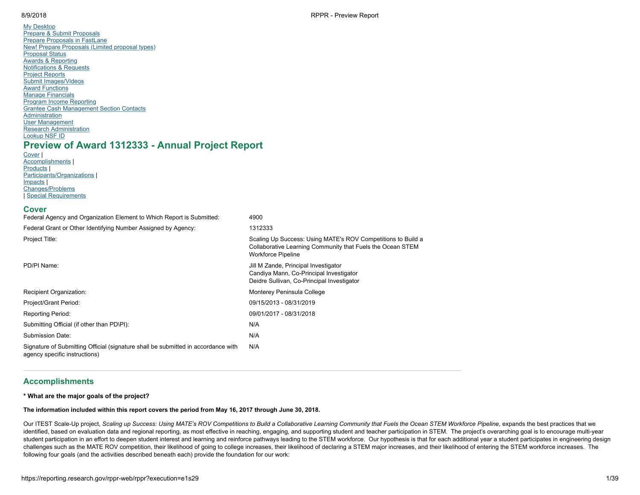- **My [Desktop](https://www.research.gov/research-portal/appmanager/base/desktop?_nfpb=true&_pageLabel=research_home_page)** Prepare & Submit Proposals Prepare [Proposals](https://www.research.gov/research-portal/FastLaneFormSubmit?fromWhichLogin=RGOVPILOGIN) in FastLane New! Prepare [Proposals](https://www.research.gov/proposalprep/#/proposal-prep) (Limited proposal types) [Proposal](https://www.research.gov/research-portal/appmanager/base/desktop?_nfpb=true&_pageLabel=research_home_page&_eventName=executeDefaultSearchEvent_gapps) Status Awards & Reporting [Notifications](https://identity.research.gov/sso/idpssoinit?NameIDFormat=urn:oasis:names:tc:SAML:2.0:nameid-format:transient&metaAlias=/research/idp&spEntityID=https://webappexternal.research.gov/sso/sp&binding=urn:oasis:names:tc:SAML:2.0:bindings:HTTP-POST&RelayState=https://reporting.research.gov/pr/index.jsp?p=nr) & Requests Project [Reports](https://identity.research.gov/sso/idpssoinit?NameIDFormat=urn:oasis:names:tc:SAML:2.0:nameid-format:transient&metaAlias=/research/idp&spEntityID=https://webappexternal.research.gov/sso/sp&binding=urn:oasis:names:tc:SAML:2.0:bindings:HTTP-POST&RelayState=https://reporting.research.gov/rppr-web/?fc) Submit [Images/Videos](https://www.research.gov/research-portal/appmanager/base/desktop?_nfpb=true&_pageLabel=media_upload) Award [Functions](https://www.research.gov/research-portal/FastLaneFormSubmit?fromWhichLogin=RGOVPILOGIN) Manage Financials Program Income [Reporting](https://www.research.gov/research-portal/appmanager/base/desktop?_nfpb=true&_pageLabel=programIncome) Grantee Cash [Management](http://www.nsf.gov/bfa/dfm/cmeab.jsp) Section Contacts **Administration** User [Management](https://www.research.gov/accountmgmt/#/admin/user/user-roles/view) Research [Administration](https://identity.research.gov/sso/idpssoinit?NameIDFormat=urn:oasis:names:tc:SAML:2.0:nameid-format:transient&metaAlias=/research/idp&spEntityID=https://www.fastlane.nsf.gov/researchadmin/sso/sp&binding=urn:oasis:names:tc:SAML:2.0:bindings:HTTP-POST) [Lookup](https://www.fastlane.nsf.gov/researchadmin/nsfIdLookupRead.do) NSF ID **Preview of Award 1312333 - Annual Project Report** [Cover](#page-0-0) |
- [Accomplishments](#page-0-1) | [Products](#page-6-0) | [Participants/Organizations](#page-11-0) | [Impacts](#page-34-0) | [Changes/Problems](#page-36-0) | Special [Requirements](#page-38-0)

# <span id="page-0-0"></span>**Cover**

| Federal Agency and Organization Element to Which Report is Submitted:                                              | 4900                                                                                                                                                    |
|--------------------------------------------------------------------------------------------------------------------|---------------------------------------------------------------------------------------------------------------------------------------------------------|
| Federal Grant or Other Identifying Number Assigned by Agency:                                                      | 1312333                                                                                                                                                 |
| Project Title:                                                                                                     | Scaling Up Success: Using MATE's ROV Competitions to Build a<br>Collaborative Learning Community that Fuels the Ocean STEM<br><b>Workforce Pipeline</b> |
| PD/PI Name:                                                                                                        | Jill M Zande, Principal Investigator<br>Candiya Mann, Co-Principal Investigator<br>Deidre Sullivan, Co-Principal Investigator                           |
| <b>Recipient Organization:</b>                                                                                     | Monterey Peninsula College                                                                                                                              |
| Project/Grant Period:                                                                                              | 09/15/2013 - 08/31/2019                                                                                                                                 |
| <b>Reporting Period:</b>                                                                                           | 09/01/2017 - 08/31/2018                                                                                                                                 |
| Submitting Official (if other than PD\PI):                                                                         | N/A                                                                                                                                                     |
| Submission Date:                                                                                                   | N/A                                                                                                                                                     |
| Signature of Submitting Official (signature shall be submitted in accordance with<br>agency specific instructions) | N/A                                                                                                                                                     |

# <span id="page-0-1"></span>**Accomplishments**

# **\* What are the major goals of the project?**

# **The information included within this report covers the period from May 16, 2017 through June 30, 2018.**

Our ITEST Scale-Up project, Scaling up Success: Using MATE's ROV Competitions to Build a Collaborative Learning Community that Fuels the Ocean STEM Workforce Pipeline, expands the best practices that we identified, based on evaluation data and regional reporting, as most effective in reaching, engaging, and supporting student and teacher participation in STEM. The project's overarching goal is to encourage multi-year student participation in an effort to deepen student interest and learning and reinforce pathways leading to the STEM workforce. Our hypothesis is that for each additional year a student participates in engineering design challenges such as the MATE ROV competition, their likelihood of going to college increases, their likelihood of declaring a STEM major increases, and their likelihood of entering the STEM workforce increases. The following four goals (and the activities described beneath each) provide the foundation for our work: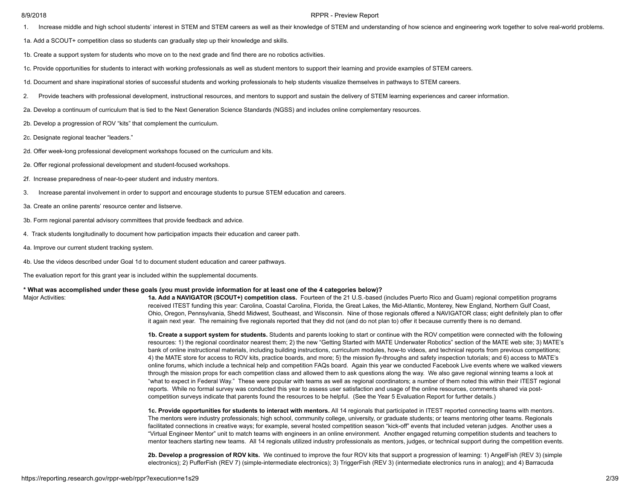#### 8/9/2018 RPPR - Preview Report

1. Increase middle and high school students' interest in STEM and STEM careers as well as their knowledge of STEM and understanding of how science and engineering work together to solve real-world problems.

1a. Add a SCOUT+ competition class so students can gradually step up their knowledge and skills.

- 1b. Create a support system for students who move on to the next grade and find there are no robotics activities.
- 1c. Provide opportunities for students to interact with working professionals as well as student mentors to support their learning and provide examples of STEM careers.

1d. Document and share inspirational stories of successful students and working professionals to help students visualize themselves in pathways to STEM careers.

- 2. Provide teachers with professional development, instructional resources, and mentors to support and sustain the delivery of STEM learning experiences and career information.
- 2a. Develop a continuum of curriculum that is tied to the Next Generation Science Standards (NGSS) and includes online complementary resources.

2b. Develop a progression of ROV "kits" that complement the curriculum.

- 2c. Designate regional teacher "leaders."
- 2d. Offer week-long professional development workshops focused on the curriculum and kits.
- 2e. Offer regional professional development and student-focused workshops.
- 2f. Increase preparedness of near-to-peer student and industry mentors.
- 3. Increase parental involvement in order to support and encourage students to pursue STEM education and careers.
- 3a. Create an online parents' resource center and listserve.
- 3b. Form regional parental advisory committees that provide feedback and advice.
- 4. Track students longitudinally to document how participation impacts their education and career path.
- 4a. Improve our current student tracking system.

Major Activities:

4b. Use the videos described under Goal 1d to document student education and career pathways.

The evaluation report for this grant year is included within the supplemental documents.

## **\* What was accomplished under these goals (you must provide information for at least one of the 4 categories below)?**

**1a. Add a NAVIGATOR (SCOUT+) competition class.** Fourteen of the 21 U.S.-based (includes Puerto Rico and Guam) regional competition programs received ITEST funding this year: Carolina, Coastal Carolina, Florida, the Great Lakes, the Mid-Atlantic, Monterey, New England, Northern Gulf Coast, Ohio, Oregon, Pennsylvania, Shedd Midwest, Southeast, and Wisconsin. Nine of those regionals offered a NAVIGATOR class; eight definitely plan to offer it again next year. The remaining five regionals reported that they did not (and do not plan to) offer it because currently there is no demand.

**1b. Create a support system for students.** Students and parents looking to start or continue with the ROV competition were connected with the following resources: 1) the regional coordinator nearest them; 2) the new "Getting Started with MATE Underwater Robotics" section of the MATE web site; 3) MATE's bank of online instructional materials, including building instructions, curriculum modules, how-to videos, and technical reports from previous competitions; 4) the MATE store for access to ROV kits, practice boards, and more; 5) the mission fly-throughs and safety inspection tutorials; and 6) access to MATE's online forums, which include a technical help and competition FAQs board. Again this year we conducted Facebook Live events where we walked viewers through the mission props for each competition class and allowed them to ask questions along the way. We also gave regional winning teams a look at "what to expect in Federal Way." These were popular with teams as well as regional coordinators; a number of them noted this within their ITEST regional reports. While no formal survey was conducted this year to assess user satisfaction and usage of the online resources, comments shared via postcompetition surveys indicate that parents found the resources to be helpful. (See the Year 5 Evaluation Report for further details.)

**1c. Provide opportunities for students to interact with mentors.** All 14 regionals that participated in ITEST reported connecting teams with mentors. The mentors were industry professionals; high school, community college, university, or graduate students; or teams mentoring other teams. Regionals facilitated connections in creative ways; for example, several hosted competition season "kick-off" events that included veteran judges. Another uses a "Virtual Engineer Mentor" unit to match teams with engineers in an online environment. Another engaged returning competition students and teachers to mentor teachers starting new teams. All 14 regionals utilized industry professionals as mentors, judges, or technical support during the competition events.

**2b. Develop a progression of ROV kits.** We continued to improve the four ROV kits that support a progression of learning: 1) AngelFish (REV 3) (simple electronics); 2) PufferFish (REV 7) (simple-intermediate electronics); 3) TriggerFish (REV 3) (intermediate electronics runs in analog); and 4) Barracuda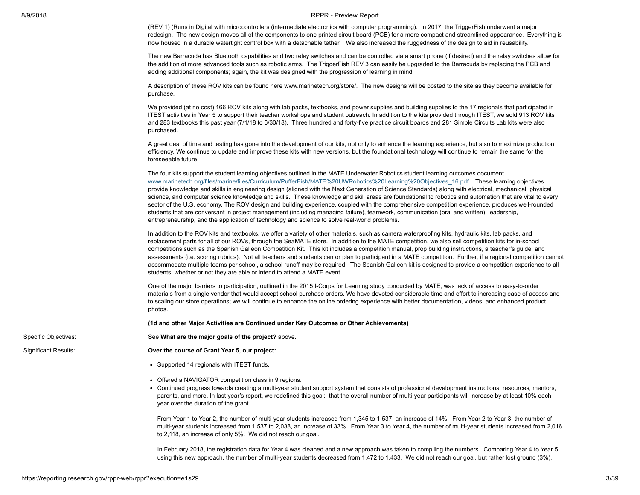#### 8/9/2018 RPPR - Preview Report

(REV 1) (Runs in Digital with microcontrollers (intermediate electronics with computer programming). In 2017, the TriggerFish underwent a major redesign. The new design moves all of the components to one printed circuit board (PCB) for a more compact and streamlined appearance. Everything is now housed in a durable watertight control box with a detachable tether. We also increased the ruggedness of the design to aid in reusability.

The new Barracuda has Bluetooth capabilities and two relay switches and can be controlled via a smart phone (if desired) and the relay switches allow for the addition of more advanced tools such as robotic arms. The TriggerFish REV 3 can easily be upgraded to the Barracuda by replacing the PCB and adding additional components; again, the kit was designed with the progression of learning in mind.

A description of these ROV kits can be found here www.marinetech.org/store/. The new designs will be posted to the site as they become available for purchase.

We provided (at no cost) 166 ROV kits along with lab packs, textbooks, and power supplies and building supplies to the 17 regionals that participated in ITEST activities in Year 5 to support their teacher workshops and student outreach. In addition to the kits provided through ITEST, we sold 913 ROV kits and 283 textbooks this past year (7/1/18 to 6/30/18). Three hundred and forty-five practice circuit boards and 281 Simple Circuits Lab kits were also purchased.

A great deal of time and testing has gone into the development of our kits, not only to enhance the learning experience, but also to maximize production efficiency. We continue to update and improve these kits with new versions, but the foundational technology will continue to remain the same for the foreseeable future.

The four kits support the student learning objectives outlined in the MATE Underwater Robotics student learning outcomes document [www.marinetech.org/files/marine/files/Curriculum/PufferFish/MATE%20UWRobotics%20Learning%20Objectives\\_16.pdf](http://www.marinetech.org/files/marine/files/Curriculum/PufferFish/MATE%20UWRobotics%20Learning%20Objectives_16.pdf) . These learning objectives provide knowledge and skills in engineering design (aligned with the Next Generation of Science Standards) along with electrical, mechanical, physical science, and computer science knowledge and skills. These knowledge and skill areas are foundational to robotics and automation that are vital to every sector of the U.S. economy. The ROV design and building experience, coupled with the comprehensive competition experience, produces well-rounded students that are conversant in project management (including managing failure), teamwork, communication (oral and written), leadership, entrepreneurship, and the application of technology and science to solve real-world problems.

In addition to the ROV kits and textbooks, we offer a variety of other materials, such as camera waterproofing kits, hydraulic kits, lab packs, and replacement parts for all of our ROVs, through the SeaMATE store. In addition to the MATE competition, we also sell competition kits for in-school competitions such as the Spanish Galleon Competition Kit. This kit includes a competition manual, prop building instructions, a teacher's guide, and assessments (i.e. scoring rubrics). Not all teachers and students can or plan to participant in a MATE competition. Further, if a regional competition cannot accommodate multiple teams per school, a school runoff may be required. The Spanish Galleon kit is designed to provide a competition experience to all students, whether or not they are able or intend to attend a MATE event.

One of the major barriers to participation, outlined in the 2015 I-Corps for Learning study conducted by MATE, was lack of access to easy-to-order materials from a single vendor that would accept school purchase orders. We have devoted considerable time and effort to increasing ease of access and to scaling our store operations; we will continue to enhance the online ordering experience with better documentation, videos, and enhanced product photos.

**(1d and other Major Activities are Continued under Key Outcomes or Other Achievements)**

Specific Objectives:

Significant Results:

See **What are the major goals of the project?** above. **Over the course of Grant Year 5, our project:**

- Supported 14 regionals with ITEST funds.
- Offered a NAVIGATOR competition class in 9 regions.
- Continued progress towards creating a multi-year student support system that consists of professional development instructional resources, mentors, parents, and more. In last year's report, we redefined this goal: that the overall number of multi-year participants will increase by at least 10% each year over the duration of the grant.

From Year 1 to Year 2, the number of multi-year students increased from 1,345 to 1,537, an increase of 14%. From Year 2 to Year 3, the number of multi-year students increased from 1,537 to 2,038, an increase of 33%. From Year 3 to Year 4, the number of multi-year students increased from 2,016 to 2,118, an increase of only 5%. We did not reach our goal.

In February 2018, the registration data for Year 4 was cleaned and a new approach was taken to compiling the numbers. Comparing Year 4 to Year 5 using this new approach, the number of multi-year students decreased from 1,472 to 1,433. We did not reach our goal, but rather lost ground (3%).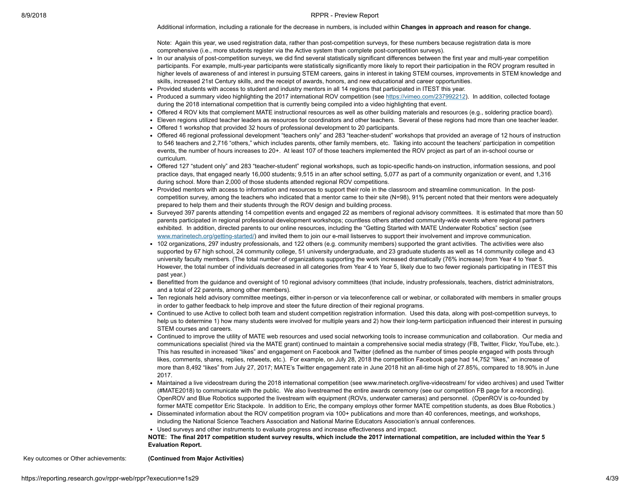Additional information, including a rationale for the decrease in numbers, is included within **Changes in approach and reason for change.**

Note: Again this year, we used registration data, rather than post-competition surveys, for these numbers because registration data is more comprehensive (i.e., more students register via the Active system than complete post-competition surveys).

- In our analysis of post-competition surveys, we did find several statistically significant differences between the first year and multi-year competition participants. For example, multi-year participants were statistically significantly more likely to report their participation in the ROV program resulted in higher levels of awareness of and interest in pursuing STEM careers, gains in interest in taking STEM courses, improvements in STEM knowledge and skills, increased 21st Century skills, and the receipt of awards, honors, and new educational and career opportunities.
- Provided students with access to student and industry mentors in all 14 regions that participated in ITEST this year.
- Produced a summary video highlighting the 2017 international ROV competition (see <https://vimeo.com/237992212>). In addition, collected footage during the 2018 international competition that is currently being compiled into a video highlighting that event.
- Offered 4 ROV kits that complement MATE instructional resources as well as other building materials and resources (e.g., soldering practice board).
- Eleven regions utilized teacher leaders as resources for coordinators and other teachers. Several of these regions had more than one teacher leader.
- Offered 1 workshop that provided 32 hours of professional development to 20 participants.
- Offered 46 regional professional development "teachers only" and 283 "teacher-student" workshops that provided an average of 12 hours of instruction to 546 teachers and 2,716 "others," which includes parents, other family members, etc. Taking into account the teachers' participation in competition events, the number of hours increases to 20+. At least 107 of those teachers implemented the ROV project as part of an in-school course or curriculum.
- Offered 127 "student only" and 283 "teacher-student" regional workshops, such as topic-specific hands-on instruction, information sessions, and pool practice days, that engaged nearly 16,000 students; 9,515 in an after school setting, 5,077 as part of a community organization or event, and 1,316 during school. More than 2,000 of those students attended regional ROV competitions.
- Provided mentors with access to information and resources to support their role in the classroom and streamline communication. In the postcompetition survey, among the teachers who indicated that a mentor came to their site (N=98), 91% percent noted that their mentors were adequately prepared to help them and their students through the ROV design and building process.
- Surveyed 397 parents attending 14 competition events and engaged 22 as members of regional advisory committees. It is estimated that more than 50 parents participated in regional professional development workshops; countless others attended community-wide events where regional partners exhibited. In addition, directed parents to our online resources, including the "Getting Started with MATE Underwater Robotics" section (see [www.marinetech.org/getting-started/\)](http://www.marinetech.org/getting-started/) and invited them to join our e-mail listserves to support their involvement and improve communication.
- 102 organizations, 297 industry professionals, and 122 others (e.g. community members) supported the grant activities. The activities were also supported by 67 high school, 24 community college, 51 university undergraduate, and 23 graduate students as well as 14 community college and 43 university faculty members. (The total number of organizations supporting the work increased dramatically (76% increase) from Year 4 to Year 5. However, the total number of individuals decreased in all categories from Year 4 to Year 5, likely due to two fewer regionals participating in ITEST this past year.)
- Benefitted from the quidance and oversight of 10 regional advisory committees (that include, industry professionals, teachers, district administrators, and a total of 22 parents, among other members).
- Ten regionals held advisory committee meetings, either in-person or via teleconference call or webinar, or collaborated with members in smaller groups in order to gather feedback to help improve and steer the future direction of their regional programs.
- Continued to use Active to collect both team and student competition registration information. Used this data, along with post-competition surveys, to help us to determine 1) how many students were involved for multiple years and 2) how their long-term participation influenced their interest in pursuing STEM courses and careers.
- Continued to improve the utility of MATE web resources and used social networking tools to increase communication and collaboration. Our media and communications specialist (hired via the MATE grant) continued to maintain a comprehensive social media strategy (FB, Twitter, Flickr, YouTube, etc.). This has resulted in increased "likes" and engagement on Facebook and Twitter (defined as the number of times people engaged with posts through likes, comments, shares, replies, retweets, etc.). For example, on July 28, 2018 the competition Facebook page had 14,752 "likes," an increase of more than 8,492 "likes" from July 27, 2017; MATE's Twitter engagement rate in June 2018 hit an all-time high of 27.85%, compared to 18.90% in June 2017.
- Maintained a live videostream during the 2018 international competition (see www.marinetech.org/live-videostream/ for video archives) and used Twitter (#MATE2018) to communicate with the public. We also livestreamed the entire awards ceremony (see our competition FB page for a recording). OpenROV and Blue Robotics supported the livestream with equipment (ROVs, underwater cameras) and personnel. (OpenROV is co-founded by former MATE competitor Eric Stackpole. In addition to Eric, the company employs other former MATE competition students, as does Blue Robotics.)
- Disseminated information about the ROV competition program via 100+ publications and more than 40 conferences, meetings, and workshops, including the National Science Teachers Association and National Marine Educators Association's annual conferences.
- Used surveys and other instruments to evaluate progress and increase effectiveness and impact.

NOTE: The final 2017 competition student survey results, which include the 2017 international competition, are included within the Year 5 **Evaluation Report.**

Key outcomes or Other achievements: **(Continued from Major Activities)**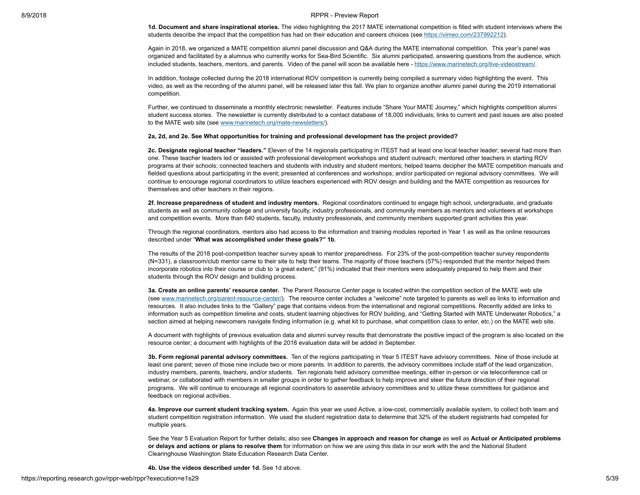#### 8/9/2018 RPPR - Preview Report

**1d. Document and share inspirational stories.** The video highlighting the 2017 MATE international competition is filled with student interviews where the students describe the impact that the competition has had on their education and careers choices (see <https://vimeo.com/237992212>).

Again in 2018, we organized a MATE competition alumni panel discussion and Q&A during the MATE international competition. This year's panel was organized and facilitated by a alumnus who currently works for Sea-Bird Scientific. Six alumni participated, answering questions from the audience, which included students, teachers, mentors, and parents. Video of the panel will soon be available here - <https://www.marinetech.org/live-videostream/>.

In addition, footage collected during the 2018 international ROV competition is currently being compiled a summary video highlighting the event. This video, as well as the recording of the alumni panel, will be released later this fall. We plan to organize another alumni panel during the 2019 international competition.

Further, we continued to disseminate a monthly electronic newsletter. Features include "Share Your MATE Journey," which highlights competition alumni student success stories. The newsletter is currently distributed to a contact database of 18,000 individuals; links to current and past issues are also posted to the MATE web site (see [www.marinetech.org/mate-newsletters/](http://www.marinetech.org/mate-newsletters/)).

#### **2a, 2d, and 2e. See What opportunities for training and professional development has the project provided?**

**2c. Designate regional teacher "leaders."** Eleven of the 14 regionals participating in ITEST had at least one local teacher leader; several had more than one. These teacher leaders led or assisted with professional development workshops and student outreach; mentored other teachers in starting ROV programs at their schools; connected teachers and students with industry and student mentors; helped teams decipher the MATE competition manuals and fielded questions about participating in the event; presented at conferences and workshops; and/or participated on regional advisory committees. We will continue to encourage regional coordinators to utilize teachers experienced with ROV design and building and the MATE competition as resources for themselves and other teachers in their regions.

**2f. Increase preparedness of student and industry mentors.** Regional coordinators continued to engage high school, undergraduate, and graduate students as well as community college and university faculty, industry professionals, and community members as mentors and volunteers at workshops and competition events. More than 640 students, faculty, industry professionals, and community members supported grant activities this year.

Through the regional coordinators, mentors also had access to the information and training modules reported in Year 1 as well as the online resources described under "**What was accomplished under these goals?" 1b**.

The results of the 2018 post-competition teacher survey speak to mentor preparedness. For 23% of the post-competition teacher survey respondents (N=331), a classroom/club mentor came to their site to help their teams. The majority of those teachers (57%) responded that the mentor helped them incorporate robotics into their course or club to 'a great extent;" (91%) indicated that their mentors were adequately prepared to help them and their students through the ROV design and building process.

**3a. Create an online parents' resource center.** The Parent Resource Center page is located within the competition section of the MATE web site (see [www.marinetech.org/parent-resource-center/\)](http://www.marinetech.org/parent-resource-center/). The resource center includes a "welcome" note targeted to parents as well as links to information and resources. It also includes links to the "Gallery" page that contains videos from the international and regional competitions. Recently added are links to information such as competition timeline and costs, student learning objectives for ROV building, and "Getting Started with MATE Underwater Robotics," a section aimed at helping newcomers navigate finding information (e.g. what kit to purchase, what competition class to enter, etc.) on the MATE web site.

A document with highlights of previous evaluation data and alumni survey results that demonstrate the positive impact of the program is also located on the resource center; a document with highlights of the 2018 evaluation data will be added in September.

**3b. Form regional parental advisory committees.** Ten of the regions participating in Year 5 ITEST have advisory committees. Nine of those include at least one parent; seven of those nine include two or more parents. In addition to parents, the advisory committees include staff of the lead organization, industry members, parents, teachers, and/or students. Ten regionals held advisory committee meetings, either in-person or via teleconference call or webinar, or collaborated with members in smaller groups in order to gather feedback to help improve and steer the future direction of their regional programs. We will continue to encourage all regional coordinators to assemble advisory committees and to utilize these committees for guidance and feedback on regional activities.

**4a. Improve our current student tracking system.** Again this year we used Active, a low-cost, commercially available system, to collect both team and student competition registration information. We used the student registration data to determine that 32% of the student registrants had competed for multiple years.

See the Year 5 Evaluation Report for further details; also see **Changes in approach and reason for change** as well as **Actual or Anticipated problems or delays and actions or plans to resolve them** for information on how we are using this data in our work with the and the National Student Clearinghouse Washington State Education Research Data Center.

**4b. Use the videos described under 1d.** See 1d above.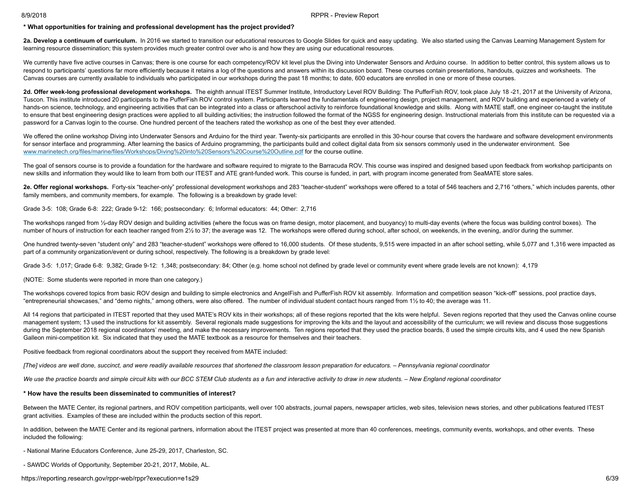## **\* What opportunities for training and professional development has the project provided?**

2a. Develop a continuum of curriculum. In 2016 we started to transition our educational resources to Google Slides for quick and easy updating. We also started using the Canvas Learning Management System for learning resource dissemination; this system provides much greater control over who is and how they are using our educational resources.

We currently have five active courses in Canvas; there is one course for each competency/ROV kit level plus the Diving into Underwater Sensors and Arduino course. In addition to better control, this system allows us to respond to participants' questions far more efficiently because it retains a log of the questions and answers within its discussion board. These courses contain presentations, handouts, quizzes and worksheets. The Canvas courses are currently available to individuals who participated in our workshops during the past 18 months; to date, 600 educators are enrolled in one or more of these courses.

2d. Offer week-long professional development workshops. The eighth annual ITEST Summer Institute, Introductory Level ROV Building: The PufferFish ROV, took place July 18-21, 2017 at the University of Arizona, Tuscon. This institute introduced 20 participants to the PufferFish ROV control system. Participants learned the fundamentals of engineering design, project management, and ROV building and experienced a variety of hands-on science, technology, and engineering activities that can be integrated into a class or afterschool activity to reinforce foundational knowledge and skills. Along with MATE staff, one engineer co-taught the institu to ensure that best engineering design practices were applied to all building activities; the instruction followed the format of the NGSS for engineering design. Instructional materials from this institute can be requested password for a Canvas login to the course. One hundred percent of the teachers rated the workshop as one of the best they ever attended.

We offered the online workshop Diving into Underwater Sensors and Arduino for the third year. Twenty-six participants are enrolled in this 30-hour course that covers the hardware and software development environments for sensor interface and programming. After learning the basics of Arduino programming, the participants build and collect digital data from six sensors commonly used in the underwater environment. See [www.marinetech.org/files/marine/files/Workshops/Diving%20into%20Sensors%20Course%20Outline.pdf](http://www.marinetech.org/files/marine/files/Workshops/Diving%20into%20Sensors%20Course%20Outline.pdf) for the course outline.

The goal of sensors course is to provide a foundation for the hardware and software required to migrate to the Barracuda ROV. This course was inspired and designed based upon feedback from workshop participants on new skills and information they would like to learn from both our ITEST and ATE grant-funded work. This course is funded, in part, with program income generated from SeaMATE store sales.

2e. Offer regional workshops. Forty-six "teacher-only" professional development workshops and 283 "teacher-student" workshops were offered to a total of 546 teachers and 2,716 "others," which includes parents, other family members, and community members, for example. The following is a breakdown by grade level:

Grade 3-5: 108; Grade 6-8: 222; Grade 9-12: 166; postsecondary: 6; Informal educators: 44; Other: 2,716

The workshops ranged from 1/2-day ROV design and building activities (where the focus was on frame design, motor placement, and buoyancy) to multi-day events (where the focus was building control boxes). The number of hours of instruction for each teacher ranged from 2½ to 37; the average was 12. The workshops were offered during school, after school, on weekends, in the evening, and/or during the summer.

One hundred twenty-seven "student only" and 283 "teacher-student" workshops were offered to 16,000 students. Of these students, 9,515 were impacted in an after school setting, while 5,077 and 1,316 were impacted as part of a community organization/event or during school, respectively. The following is a breakdown by grade level:

Grade 3-5: 1,017; Grade 6-8: 9,382; Grade 9-12: 1,348; postsecondary: 84; Other (e.g. home school not defined by grade level or community event where grade levels are not known): 4,179

(NOTE: Some students were reported in more than one category.)

The workshops covered topics from basic ROV design and building to simple electronics and AngelFish and PufferFish ROV kit assembly. Information and competition season "kick-off" sessions, pool practice days, "entrepreneurial showcases," and "demo nights," among others, were also offered. The number of individual student contact hours ranged from 1½ to 40; the average was 11.

All 14 regions that participated in ITEST reported that they used MATE's ROV kits in their workshops; all of these regions reported that the kits were helpful. Seven regions reported that they used the Canvas online course management system; 13 used the instructions for kit assembly. Several regionals made suggestions for improving the kits and the layout and accessibility of the curriculum; we will review and discuss those suggestions during the September 2018 regional coordinators' meeting, and make the necessary improvements. Ten regions reported that they used the practice boards, 8 used the simple circuits kits, and 4 used the new Spanish Galleon mini-competition kit. Six indicated that they used the MATE textbook as a resource for themselves and their teachers.

Positive feedback from regional coordinators about the support they received from MATE included:

[The] videos are well done, succinct, and were readily available resources that shortened the classroom lesson preparation for educators. - Pennsylvania regional coordinator

We use the practice boards and simple circuit kits with our BCC STEM Club students as a fun and interactive activity to draw in new students. - New England regional coordinator

#### **\* How have the results been disseminated to communities of interest?**

Between the MATE Center, its regional partners, and ROV competition participants, well over 100 abstracts, journal papers, newspaper articles, web sites, television news stories, and other publications featured ITEST grant activities. Examples of these are included within the products section of this report.

In addition, between the MATE Center and its regional partners, information about the ITEST project was presented at more than 40 conferences, meetings, community events, workshops, and other events. These included the following:

- National Marine Educators Conference, June 25-29, 2017, Charleston, SC.

- SAWDC Worlds of Opportunity, September 20-21, 2017, Mobile, AL.

https://reporting.research.gov/rppr-web/rppr?execution=e1s29 6/39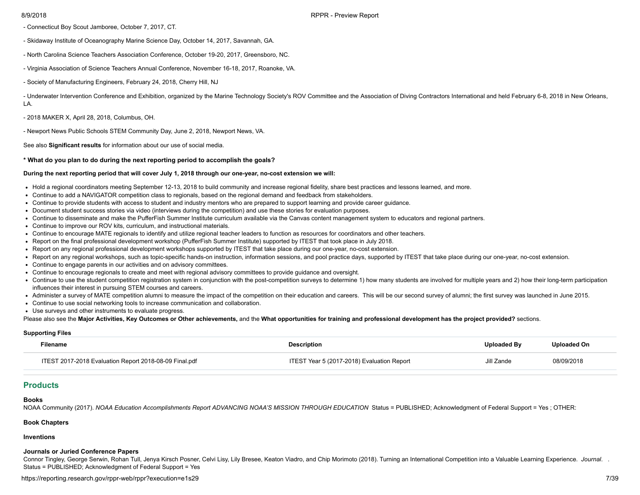- Connecticut Boy Scout Jamboree, October 7, 2017, CT.
- Skidaway Institute of Oceanography Marine Science Day, October 14, 2017, Savannah, GA.
- North Carolina Science Teachers Association Conference, October 19-20, 2017, Greensboro, NC.
- Virginia Association of Science Teachers Annual Conference, November 16-18, 2017, Roanoke, VA.
- Society of Manufacturing Engineers, February 24, 2018, Cherry Hill, NJ

- Underwater Intervention Conference and Exhibition, organized by the Marine Technology Society's ROV Committee and the Association of Diving Contractors International and held February 6-8, 2018 in New Orleans, LA.

- 2018 MAKER X, April 28, 2018, Columbus, OH.

- Newport News Public Schools STEM Community Day, June 2, 2018, Newport News, VA.

See also **Significant results** for information about our use of social media.

### **\* What do you plan to do during the next reporting period to accomplish the goals?**

### During the next reporting period that will cover July 1, 2018 through our one-year, no-cost extension we will:

- Hold a regional coordinators meeting September 12-13, 2018 to build community and increase regional fidelity, share best practices and lessons learned, and more.
- Continue to add a NAVIGATOR competition class to regionals, based on the regional demand and feedback from stakeholders.
- Continue to provide students with access to student and industry mentors who are prepared to support learning and provide career guidance.
- Document student success stories via video (interviews during the competition) and use these stories for evaluation purposes.
- Continue to disseminate and make the PufferFish Summer Institute curriculum available via the Canvas content management system to educators and regional partners.
- Continue to improve our ROV kits, curriculum, and instructional materials.
- Continue to encourage MATE regionals to identify and utilize regional teacher leaders to function as resources for coordinators and other teachers.
- Report on the final professional development workshop (PufferFish Summer Institute) supported by ITEST that took place in July 2018.
- Report on any regional professional development workshops supported by ITEST that take place during our one-year, no-cost extension.
- Report on any regional workshops, such as topic-specific hands-on instruction, information sessions, and pool practice days, supported by ITEST that take place during our one-year, no-cost extension.
- Continue to engage parents in our activities and on advisory committees.
- Continue to encourage regionals to create and meet with regional advisory committees to provide guidance and oversight.
- Continue to use the student competition registration system in conjunction with the post-competition surveys to determine 1) how many students are involved for multiple years and 2) how their long-term participation influences their interest in pursuing STEM courses and careers.
- Administer a survey of MATE competition alumni to measure the impact of the competition on their education and careers. This will be our second survey of alumni; the first survey was launched in June 2015.
- Continue to use social networking tools to increase communication and collaboration.
- Use surveys and other instruments to evaluate progress.

Please also see the Major Activities, Key Outcomes or Other achievements, and the What opportunities for training and professional development has the project provided? sections.

#### **Supporting Files**

| Filename                                               | <b>Description</b>                         | Uploaded By | Uploaded On |
|--------------------------------------------------------|--------------------------------------------|-------------|-------------|
| ITEST 2017-2018 Evaluation Report 2018-08-09 Final.pdf | ITEST Year 5 (2017-2018) Evaluation Report | Jill Zande  | 08/09/2018  |
|                                                        |                                            |             |             |

# <span id="page-6-0"></span>**Products**

#### **Books**

NOAA Community (2017). NOAA Education Accomplishments Report ADVANCING NOAA'S MISSION THROUGH EDUCATION Status = PUBLISHED; Acknowledgment of Federal Support = Yes ; OTHER:

**Book Chapters**

## **Inventions**

# **Journals or Juried Conference Papers**

Connor Tingley, George Serwin, Rohan Tull, Jenya Kirsch Posner, Celvi Lisy, Lily Bresee, Keaton Viadro, and Chip Morimoto (2018). Turning an International Competition into a Valuable Learning Experience. *Journal*. . Status = PUBLISHED; Acknowledgment of Federal Support = Yes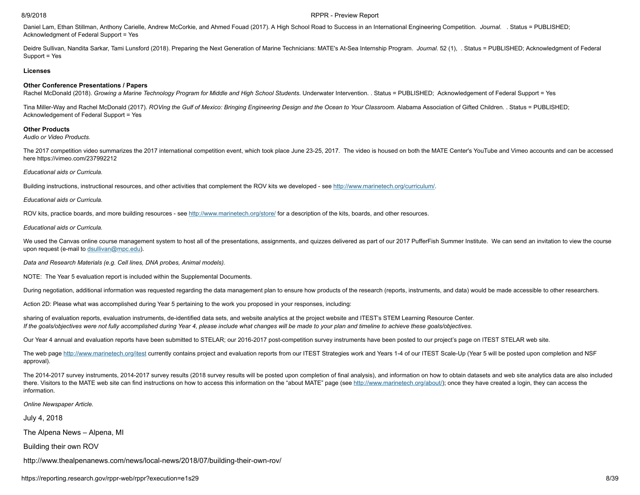#### 8/9/2018 RPPR - Preview Report

Daniel Lam, Ethan Stillman, Anthony Carielle, Andrew McCorkie, and Ahmed Fouad (2017). A High School Road to Success in an International Engineering Competition. *Journal*. . Status = PUBLISHED; Acknowledgment of Federal Support = Yes

Deidre Sullivan, Nandita Sarkar, Tami Lunsford (2018). Preparing the Next Generation of Marine Technicians: MATE's At-Sea Internship Program. *Journal*. 52 (1), . Status = PUBLISHED; Acknowledgment of Federal Support = Yes

#### **Licenses**

#### **Other Conference Presentations / Papers**

Rachel McDonald (2018). Growing a Marine Technology Program for Middle and High School Students. Underwater Intervention. . Status = PUBLISHED; Acknowledgement of Federal Support = Yes

Tina Miller-Way and Rachel McDonald (2017). ROVing the Gulf of Mexico: Bringing Engineering Design and the Ocean to Your Classroom. Alabama Association of Gifted Children. Status = PUBLISHED; Acknowledgement of Federal Support = Yes

### **Other Products**

*Audio or Video Products.*

The 2017 competition video summarizes the 2017 international competition event, which took place June 23-25, 2017. The video is housed on both the MATE Center's YouTube and Vimeo accounts and can be accessed here https://vimeo.com/237992212

#### *Educational aids or Curricula.*

Building instructions, instructional resources, and other activities that complement the ROV kits we developed - see <http://www.marinetech.org/curriculum/>

*Educational aids or Curricula.*

ROV kits, practice boards, and more building resources - see <http://www.marinetech.org/store/> for a description of the kits, boards, and other resources.

*Educational aids or Curricula.*

We used the Canvas online course management system to host all of the presentations, assignments, and quizzes delivered as part of our 2017 PufferFish Summer Institute. We can send an invitation to view the course upon request (e-mail to [dsullivan@mpc.edu\)](mailto:dsullivan@mpc.edu).

*Data and Research Materials (e.g. Cell lines, DNA probes, Animal models).*

NOTE: The Year 5 evaluation report is included within the Supplemental Documents.

During negotiation, additional information was requested regarding the data management plan to ensure how products of the research (reports, instruments, and data) would be made accessible to other researchers.

Action 2D: Please what was accomplished during Year 5 pertaining to the work you proposed in your responses, including:

sharing of evaluation reports, evaluation instruments, de-identified data sets, and website analytics at the project website and ITEST's STEM Learning Resource Center. If the goals/objectives were not fully accomplished during Year 4, please include what changes will be made to your plan and timeline to achieve these goals/objectives.

Our Year 4 annual and evaluation reports have been submitted to STELAR; our 2016-2017 post-competition survey instruments have been posted to our project's page on ITEST STELAR web site.

The web page <http://www.marinetech.org/itest> currently contains project and evaluation reports from our ITEST Strategies work and Years 1-4 of our ITEST Scale-Up (Year 5 will be posted upon completion and NSF approval).

The 2014-2017 survey instruments, 2014-2017 survey results (2018 survey results will be posted upon completion of final analysis), and information on how to obtain datasets and web site analytics data are also included there. Visitors to the MATE web site can find instructions on how to access this information on the "about MATE" page (see <http://www.marinetech.org/about/>); once they have created a login, they can access the information.

#### *Online Newspaper Article.*

July 4, 2018

The Alpena News – Alpena, MI

Building their own ROV

http://www.thealpenanews.com/news/local-news/2018/07/building-their-own-rov/

https://reporting.research.gov/rppr-web/rppr?execution=e1s29 8/39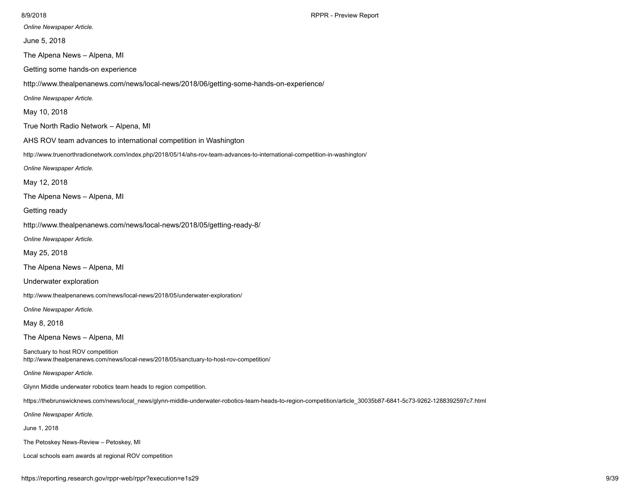*Online Newspaper Article.*

June 5, 2018

The Alpena News – Alpena, MI

Getting some hands-on experience

http://www.thealpenanews.com/news/local-news/2018/06/getting-some-hands-on-experience/

*Online Newspaper Article.*

May 10, 2018

True North Radio Network – Alpena, MI

AHS ROV team advances to international competition in Washington

http://www.truenorthradionetwork.com/index.php/2018/05/14/ahs-rov-team-advances-to-international-competition-in-washington/

*Online Newspaper Article.*

May 12, 2018

The Alpena News – Alpena, MI

Getting ready

http://www.thealpenanews.com/news/local-news/2018/05/getting-ready-8/

*Online Newspaper Article.*

May 25, 2018

The Alpena News – Alpena, MI

Underwater exploration

http://www.thealpenanews.com/news/local-news/2018/05/underwater-exploration/

*Online Newspaper Article.*

May 8, 2018

The Alpena News – Alpena, MI

Sanctuary to host ROV competition http://www.thealpenanews.com/news/local-news/2018/05/sanctuary-to-host-rov-competition/

*Online Newspaper Article.*

Glynn Middle underwater robotics team heads to region competition.

https://thebrunswicknews.com/news/local\_news/glynn-middle-underwater-robotics-team-heads-to-region-competition/article\_30035b87-6841-5c73-9262-1288392597c7.html

*Online Newspaper Article.*

June 1, 2018

The Petoskey News-Review – Petoskey, MI

Local schools earn awards at regional ROV competition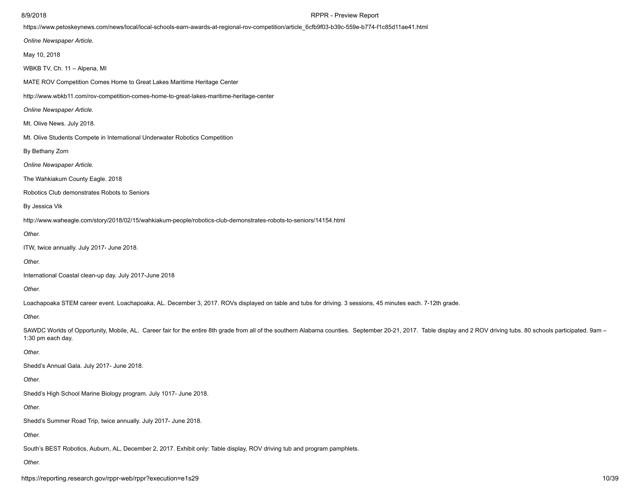#### 8/9/2018 RPPR - Preview Report

https://www.petoskeynews.com/news/local/local-schools-earn-awards-at-regional-rov-competition/article\_6cfb9f03-b39c-559e-b774-f1c85d11ae41.html

*Online Newspaper Article.*

May 10, 2018

WBKB TV, Ch. 11 – Alpena, MI

MATE ROV Competition Comes Home to Great Lakes Maritime Heritage Center

http://www.wbkb11.com/rov-competition-comes-home-to-great-lakes-maritime-heritage-center

*Online Newspaper Article.*

Mt. Olive News. July 2018.

Mt. Olive Students Compete in International Underwater Robotics Competition

By Bethany Zorn

*Online Newspaper Article.*

The Wahkiakum County Eagle. 2018

Robotics Club demonstrates Robots to Seniors

By Jessica Vik

http://www.waheagle.com/story/2018/02/15/wahkiakum-people/robotics-club-demonstrates-robots-to-seniors/14154.html

*Other.*

ITW, twice annually. July 2017- June 2018.

*Other.*

International Coastal clean-up day. July 2017-June 2018

*Other.*

Loachapoaka STEM career event. Loachapoaka, AL. December 3, 2017. ROVs displayed on table and tubs for driving. 3 sessions, 45 minutes each. 7-12th grade.

*Other.*

SAWDC Worlds of Opportunity, Mobile, AL. Career fair for the entire 8th grade from all of the southern Alabama counties. September 20-21, 2017. Table display and 2 ROV driving tubs. 80 schools participated. 9am – 1:30 pm each day.

*Other.*

Shedd's Annual Gala. July 2017- June 2018.

*Other.*

Shedd's High School Marine Biology program. July 1017- June 2018.

*Other.*

Shedd's Summer Road Trip, twice annually. July 2017- June 2018.

*Other.*

South's BEST Robotics, Auburn, AL, December 2, 2017. Exhibit only: Table display, ROV driving tub and program pamphlets.

*Other.*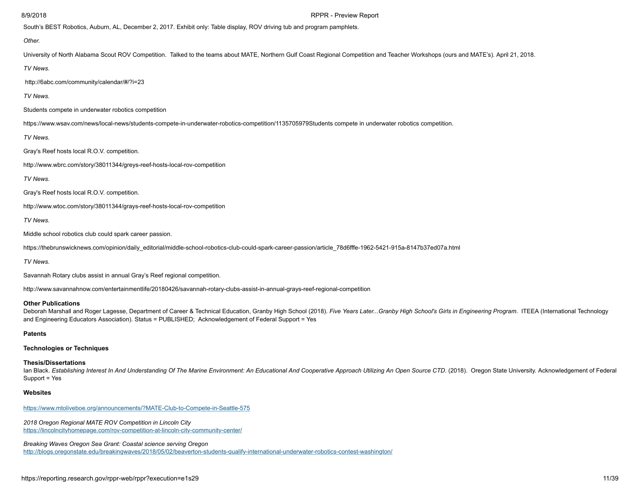South's BEST Robotics, Auburn, AL, December 2, 2017. Exhibit only: Table display, ROV driving tub and program pamphlets.

# *Other.*

University of North Alabama Scout ROV Competition. Talked to the teams about MATE, Northern Gulf Coast Regional Competition and Teacher Workshops (ours and MATE's). April 21, 2018.

*TV News.*

http://6abc.com/community/calendar/#/?i=23

*TV News.*

Students compete in underwater robotics competition

https://www.wsav.com/news/local-news/students-compete-in-underwater-robotics-competition/1135705979Students compete in underwater robotics competition.

*TV News.*

Gray's Reef hosts local R.O.V. competition.

http://www.wbrc.com/story/38011344/greys-reef-hosts-local-rov-competition

*TV News.*

Gray's Reef hosts local R.O.V. competition.

http://www.wtoc.com/story/38011344/grays-reef-hosts-local-rov-competition

*TV News.*

Middle school robotics club could spark career passion.

https://thebrunswicknews.com/opinion/daily\_editorial/middle-school-robotics-club-could-spark-career-passion/article\_78d6fffe-1962-5421-915a-8147b37ed07a.html

*TV News.*

Savannah Rotary clubs assist in annual Gray's Reef regional competition.

http://www.savannahnow.com/entertainmentlife/20180426/savannah-rotary-clubs-assist-in-annual-grays-reef-regional-competition

#### **Other Publications**

Deborah Marshall and Roger Lagesse, Department of Career & Technical Education, Granby High School (2018). Five Years Later...Granby High School's Girls in Engineering Program. ITEEA (International Technology and Engineering Educators Association). Status = PUBLISHED; Acknowledgement of Federal Support = Yes

# **Patents**

# **Technologies or Techniques**

# **Thesis/Dissertations**

Ian Black. Establishing Interest In And Understanding Of The Marine Environment: An Educational And Cooperative Approach Utilizing An Open Source CTD. (2018). Oregon State University. Acknowledgement of Federal Support = Yes

# **Websites**

<https://www.mtoliveboe.org/announcements/?MATE-Club-to-Compete-in-Seattle-575>

*2018 Oregon Regional MATE ROV Competition in Lincoln City* <https://lincolncityhomepage.com/rov-competition-at-lincoln-city-community-center/>

*Breaking Waves Oregon Sea Grant: Coastal science serving Oregon* <http://blogs.oregonstate.edu/breakingwaves/2018/05/02/beaverton-students-qualify-international-underwater-robotics-contest-washington/>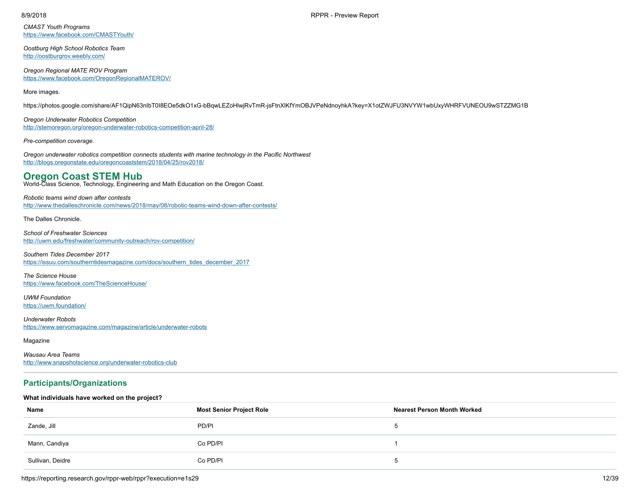*CMAST Youth Programs* <https://www.facebook.com/CMASTYouth/>

*Oostburg High School Robotics Team* <http://oostburgrov.weebly.com/>

*Oregon Regional MATE ROV Program* <https://www.facebook.com/OregonRegionalMATEROV/>

More images.

https://photos.google.com/share/AF1QipN63nIbT0I8EOe5dkO1xG-bBqwLEZoHlwjRvTmR-jsFtnXlKfYmOBJVPeNdnoyhkA?key=X1otZWJFU3NVYW1wbUxyWHRFVUNEOU9wSTZZMG1B

*Oregon Underwater Robotics Competition* <http://stemoregon.org/oregon-underwater-robotics-competition-april-28/>

# *Pre-competition coverage*.

*Oregon underwater robotics competition connects students with marine technology in the Pacific Northwest* <http://blogs.oregonstate.edu/oregoncoaststem/2018/04/25/rov2018/>

# **Oregon Coast STEM Hub**

World-Class Science, Technology, Engineering and Math Education on the Oregon Coast.

# *Robotic teams wind down after contests*

<http://www.thedalleschronicle.com/news/2018/may/08/robotic-teams-wind-down-after-contests/>

The Dalles Chronicle.

*School of Freshwater Sciences* <http://uwm.edu/freshwater/community-outreach/rov-competition/>

*Southern Tides December 2017* [https://issuu.com/southerntidesmagazine.com/docs/southern\\_tides\\_december\\_2017](https://issuu.com/southerntidesmagazine.com/docs/southern_tides_december_2017)

*The Science House* <https://www.facebook.com/TheScienceHouse/>

*UWM Foundation* <https://uwm.foundation/>

*Underwater Robots* <https://www.servomagazine.com/magazine/article/underwater-robots>

Magazine

*Wausau Area Teams* <http://www.snapshotscience.org/underwater-robotics-club>

# <span id="page-11-0"></span>**Participants/Organizations**

# **What individuals have worked on the project?**

| Name             | <b>Most Senior Project Role</b> | <b>Nearest Person Month Worked</b> |
|------------------|---------------------------------|------------------------------------|
| Zande, Jill      | PD/PI                           | ∽                                  |
| Mann, Candiya    | Co PD/PI                        |                                    |
| Sullivan, Deidre | Co PD/PI                        | <u>_</u>                           |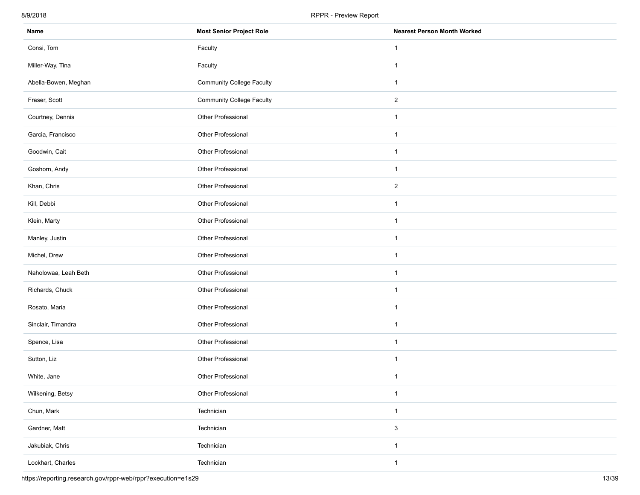| Name                 | <b>Most Senior Project Role</b>  | <b>Nearest Person Month Worked</b> |
|----------------------|----------------------------------|------------------------------------|
| Consi, Tom           | Faculty                          | $\mathbf{1}$                       |
| Miller-Way, Tina     | Faculty                          | $\overline{1}$                     |
| Abella-Bowen, Meghan | <b>Community College Faculty</b> | $\mathbf{1}$                       |
| Fraser, Scott        | <b>Community College Faculty</b> | $\overline{2}$                     |
| Courtney, Dennis     | Other Professional               | $\mathbf{1}$                       |
| Garcia, Francisco    | Other Professional               | $\overline{1}$                     |
| Goodwin, Cait        | Other Professional               | $\overline{1}$                     |
| Goshorn, Andy        | Other Professional               | $\mathbf{1}$                       |
| Khan, Chris          | Other Professional               | $\overline{2}$                     |
| Kill, Debbi          | Other Professional               | $\mathbf{1}$                       |
| Klein, Marty         | Other Professional               | $\overline{1}$                     |
| Manley, Justin       | Other Professional               | $\mathbf{1}$                       |
| Michel, Drew         | Other Professional               | $\mathbf{1}$                       |
| Naholowaa, Leah Beth | Other Professional               | $\mathbf{1}$                       |
| Richards, Chuck      | Other Professional               | $\overline{1}$                     |
| Rosato, Maria        | Other Professional               | $\overline{1}$                     |
| Sinclair, Timandra   | Other Professional               | $\mathbf{1}$                       |
| Spence, Lisa         | Other Professional               | $\overline{1}$                     |
| Sutton, Liz          | Other Professional               | $\mathbf{1}$                       |
| White, Jane          | Other Professional               | $\mathbf{1}$                       |
| Wilkening, Betsy     | Other Professional               | $\mathbf{1}$                       |
| Chun, Mark           | Technician                       | $\mathbf{1}$                       |
| Gardner, Matt        | Technician                       | $\mathbf{3}$                       |
| Jakubiak, Chris      | Technician                       | $\mathbf{1}$                       |
| Lockhart, Charles    | Technician                       | $\mathbf{1}$                       |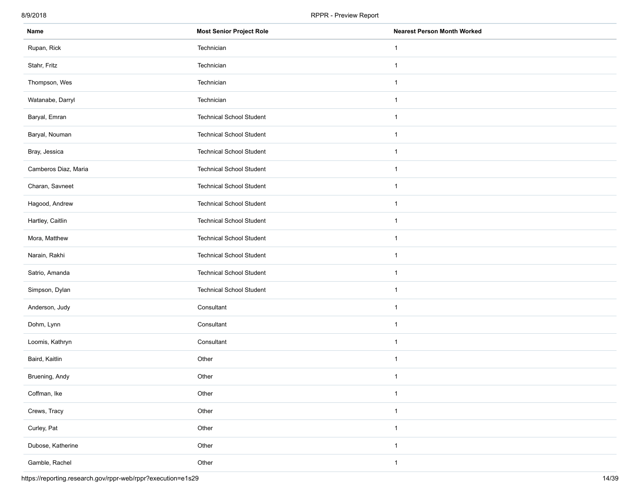| Name                 | <b>Most Senior Project Role</b> | <b>Nearest Person Month Worked</b> |
|----------------------|---------------------------------|------------------------------------|
| Rupan, Rick          | Technician                      | $\mathbf{1}$                       |
| Stahr, Fritz         | Technician                      | $\mathbf{1}$                       |
| Thompson, Wes        | Technician                      | $\mathbf{1}$                       |
| Watanabe, Darryl     | Technician                      | $\mathbf{1}$                       |
| Baryal, Emran        | <b>Technical School Student</b> | $\mathbf{1}$                       |
| Baryal, Nouman       | <b>Technical School Student</b> | $\overline{1}$                     |
| Bray, Jessica        | <b>Technical School Student</b> | $\overline{1}$                     |
| Camberos Diaz, Maria | <b>Technical School Student</b> | $\mathbf{1}$                       |
| Charan, Savneet      | <b>Technical School Student</b> | $\mathbf{1}$                       |
| Hagood, Andrew       | <b>Technical School Student</b> | $\mathbf{1}$                       |
| Hartley, Caitlin     | <b>Technical School Student</b> | $\mathbf{1}$                       |
| Mora, Matthew        | <b>Technical School Student</b> | $\mathbf{1}$                       |
| Narain, Rakhi        | <b>Technical School Student</b> | $\overline{1}$                     |
| Satrio, Amanda       | <b>Technical School Student</b> | $\mathbf{1}$                       |
| Simpson, Dylan       | <b>Technical School Student</b> | $\overline{1}$                     |
| Anderson, Judy       | Consultant                      | $\mathbf{1}$                       |
| Dohm, Lynn           | Consultant                      | $\mathbf{1}$                       |
| Loomis, Kathryn      | Consultant                      | $\mathbf{1}$                       |
| Baird, Kaitlin       | Other                           | $\mathbf{1}$                       |
| Bruening, Andy       | Other                           | $\mathbf{1}$                       |
| Coffman, Ike         | Other                           | $\mathbf{1}$                       |
| Crews, Tracy         | Other                           | $\mathbf{1}$                       |
| Curley, Pat          | Other                           | $\mathbf{1}$                       |
| Dubose, Katherine    | Other                           | $\mathbf{1}$                       |
| Gamble, Rachel       | Other                           | $\mathbf{1}$                       |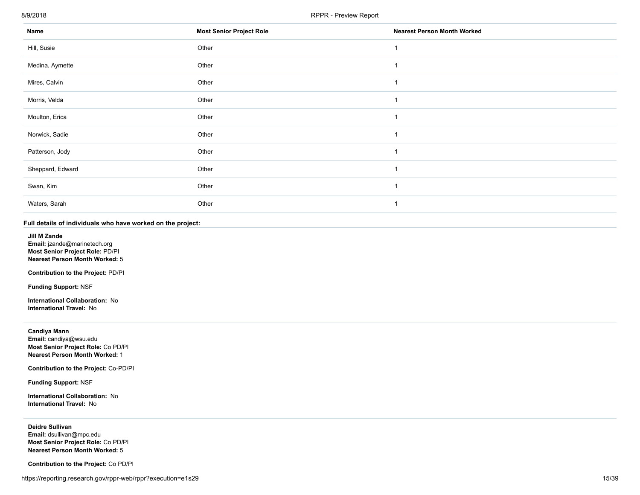# 8/9/2018 RPPR - Preview Report

| Name             | <b>Most Senior Project Role</b> | <b>Nearest Person Month Worked</b> |
|------------------|---------------------------------|------------------------------------|
| Hill, Susie      | Other                           |                                    |
| Medina, Aymette  | Other                           |                                    |
| Mires, Calvin    | Other                           |                                    |
| Morris, Velda    | Other                           |                                    |
| Moulton, Erica   | Other                           |                                    |
| Norwick, Sadie   | Other                           |                                    |
| Patterson, Jody  | Other                           |                                    |
| Sheppard, Edward | Other                           |                                    |
| Swan, Kim        | Other                           |                                    |
| Waters, Sarah    | Other                           |                                    |

#### <span id="page-14-0"></span>**Full details of individuals who have worked on the project:**

**Jill M Zande**

**Email:** jzande@marinetech.org **Most Senior Project Role:** PD/PI **Nearest Person Month Worked:** 5

**Contribution to the Project:** PD/PI

**Funding Support:** NSF

**International Collaboration:** No **International Travel:** No

#### <span id="page-14-1"></span>**Candiya Mann**

**Email:** candiya@wsu.edu **Most Senior Project Role:** Co PD/PI **Nearest Person Month Worked:** 1

**Contribution to the Project:** Co-PD/PI

**Funding Support:** NSF

**International Collaboration:** No **International Travel:** No

<span id="page-14-2"></span>**Deidre Sullivan Email:** dsullivan@mpc.edu **Most Senior Project Role:** Co PD/PI **Nearest Person Month Worked:** 5

**Contribution to the Project:** Co PD/PI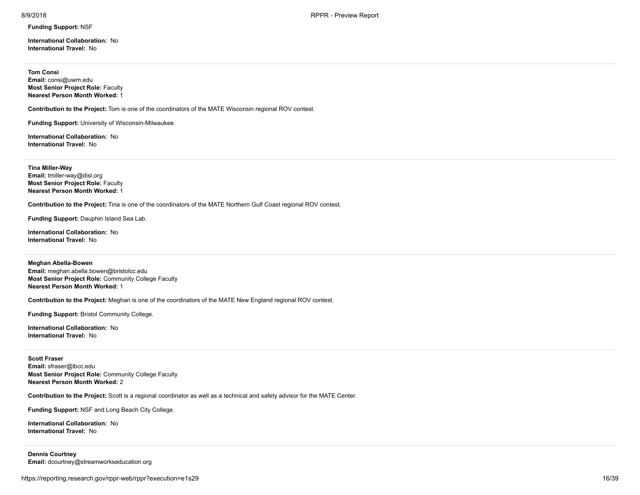**Funding Support:** NSF

**International Collaboration:** No **International Travel:** No

# <span id="page-15-0"></span>**Tom Consi**

**Email:** consi@uwm.edu **Most Senior Project Role:** Faculty **Nearest Person Month Worked:** 1

**Contribution to the Project:** Tom is one of the coordinators of the MATE Wisconsin regional ROV contest.

**Funding Support:** University of Wisconsin-Milwaukee.

**International Collaboration:** No **International Travel:** No

<span id="page-15-1"></span>**Tina Miller-Way Email:** tmiller-way@disl.org **Most Senior Project Role:** Faculty **Nearest Person Month Worked:** 1

**Contribution to the Project:** Tina is one of the coordinators of the MATE Northern Gulf Coast regional ROV contest.

**Funding Support:** Dauphin Island Sea Lab.

**International Collaboration:** No **International Travel:** No

<span id="page-15-2"></span>**Meghan Abella-Bowen Email:** meghan.abella.bowen@bristolcc.edu **Most Senior Project Role:** Community College Faculty **Nearest Person Month Worked:** 1

**Contribution to the Project:** Meghan is one of the coordinators of the MATE New England regional ROV contest.

**Funding Support:** Bristol Community College.

**International Collaboration:** No **International Travel:** No

<span id="page-15-3"></span>**Scott Fraser**

**Email:** sfraser@lbcc.edu **Most Senior Project Role:** Community College Faculty **Nearest Person Month Worked:** 2

**Contribution to the Project:** Scott is a regional coordinator as well as a technical and safety advisor for the MATE Center.

**Funding Support:** NSF and Long Beach City College.

**International Collaboration:** No **International Travel:** No

<span id="page-15-4"></span>**Dennis Courtney Email:** dcourtney@streamworkseducation.org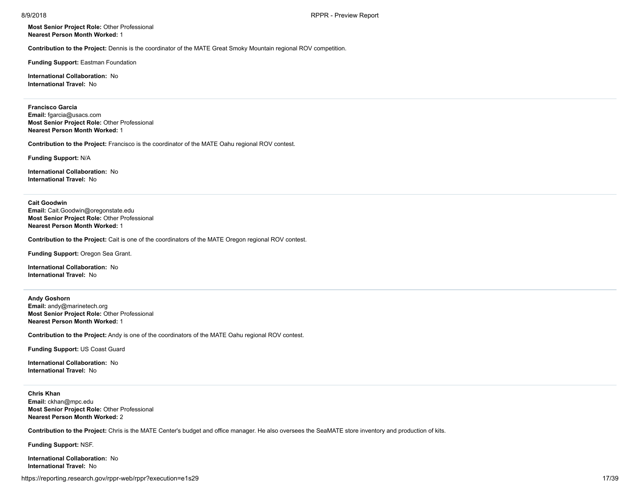**Most Senior Project Role:** Other Professional **Nearest Person Month Worked:** 1

**Contribution to the Project:** Dennis is the coordinator of the MATE Great Smoky Mountain regional ROV competition.

**Funding Support:** Eastman Foundation

**International Collaboration:** No **International Travel:** No

<span id="page-16-0"></span>**Francisco Garcia Email:** fgarcia@usacs.com **Most Senior Project Role:** Other Professional **Nearest Person Month Worked:** 1

**Contribution to the Project:** Francisco is the coordinator of the MATE Oahu regional ROV contest.

**Funding Support:** N/A

**International Collaboration:** No **International Travel:** No

<span id="page-16-1"></span>**Cait Goodwin Email:** Cait.Goodwin@oregonstate.edu **Most Senior Project Role:** Other Professional **Nearest Person Month Worked:** 1

**Contribution to the Project:** Cait is one of the coordinators of the MATE Oregon regional ROV contest.

**Funding Support:** Oregon Sea Grant.

**International Collaboration:** No **International Travel:** No

<span id="page-16-2"></span>**Andy Goshorn Email:** andy@marinetech.org **Most Senior Project Role:** Other Professional **Nearest Person Month Worked:** 1

**Contribution to the Project:** Andy is one of the coordinators of the MATE Oahu regional ROV contest.

**Funding Support:** US Coast Guard

**International Collaboration:** No **International Travel:** No

<span id="page-16-3"></span>**Chris Khan Email:** ckhan@mpc.edu **Most Senior Project Role:** Other Professional **Nearest Person Month Worked:** 2

**Contribution to the Project:** Chris is the MATE Center's budget and office manager. He also oversees the SeaMATE store inventory and production of kits.

**Funding Support:** NSF.

**International Collaboration:** No **International Travel:** No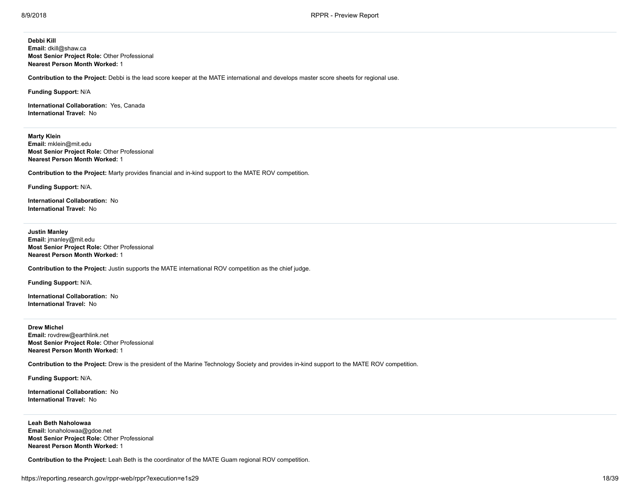<span id="page-17-0"></span>**Debbi Kill Email:** dkill@shaw.ca **Most Senior Project Role:** Other Professional **Nearest Person Month Worked:** 1

**Contribution to the Project:** Debbi is the lead score keeper at the MATE international and develops master score sheets for regional use.

**Funding Support:** N/A

**International Collaboration:** Yes, Canada **International Travel:** No

<span id="page-17-1"></span>**Marty Klein Email:** mklein@mit.edu **Most Senior Project Role:** Other Professional **Nearest Person Month Worked:** 1

**Contribution to the Project:** Marty provides financial and in-kind support to the MATE ROV competition.

**Funding Support:** N/A.

**International Collaboration:** No **International Travel:** No

<span id="page-17-2"></span>**Justin Manley Email:** jmanley@mit.edu **Most Senior Project Role:** Other Professional **Nearest Person Month Worked:** 1

**Contribution to the Project:** Justin supports the MATE international ROV competition as the chief judge.

**Funding Support:** N/A.

**International Collaboration:** No **International Travel:** No

<span id="page-17-3"></span>**Drew Michel Email:** rovdrew@earthlink.net **Most Senior Project Role:** Other Professional **Nearest Person Month Worked:** 1

**Contribution to the Project:** Drew is the president of the Marine Technology Society and provides in-kind support to the MATE ROV competition.

**Funding Support:** N/A.

**International Collaboration:** No **International Travel:** No

<span id="page-17-4"></span>**Leah Beth Naholowaa Email:** lonaholowaa@gdoe.net **Most Senior Project Role:** Other Professional **Nearest Person Month Worked:** 1

**Contribution to the Project:** Leah Beth is the coordinator of the MATE Guam regional ROV competition.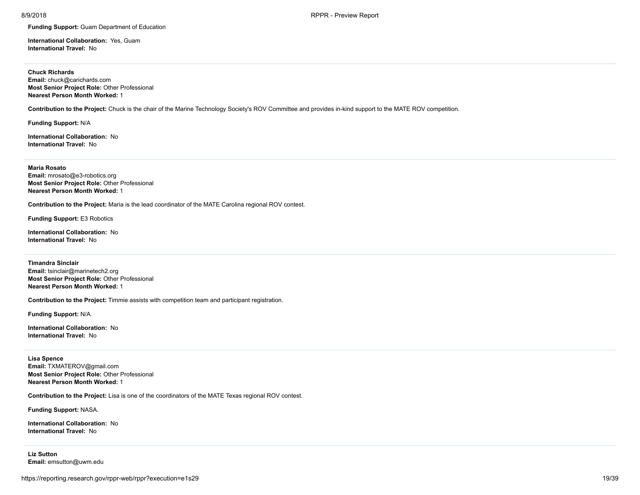**Funding Support:** Guam Department of Education

**International Collaboration:** Yes, Guam **International Travel:** No

# <span id="page-18-0"></span>**Chuck Richards**

**Email:** chuck@carichards.com **Most Senior Project Role:** Other Professional **Nearest Person Month Worked:** 1

**Contribution to the Project:** Chuck is the chair of the Marine Technology Society's ROV Committee and provides in-kind support to the MATE ROV competition.

**Funding Support:** N/A

**International Collaboration:** No **International Travel:** No

<span id="page-18-1"></span>**Maria Rosato Email:** mrosato@e3-robotics.org **Most Senior Project Role:** Other Professional **Nearest Person Month Worked:** 1

**Contribution to the Project:** Maria is the lead coordinator of the MATE Carolina regional ROV contest.

**Funding Support:** E3 Robotics

**International Collaboration:** No **International Travel:** No

<span id="page-18-2"></span>**Timandra Sinclair Email:** tsinclair@marinetech2.org **Most Senior Project Role:** Other Professional **Nearest Person Month Worked:** 1

**Contribution to the Project:** Timmie assists with competition team and participant registration.

**Funding Support:** N/A

**International Collaboration:** No **International Travel:** No

<span id="page-18-3"></span>**Lisa Spence Email:** TXMATEROV@gmail.com **Most Senior Project Role:** Other Professional **Nearest Person Month Worked:** 1

**Contribution to the Project:** Lisa is one of the coordinators of the MATE Texas regional ROV contest.

**Funding Support:** NASA.

**International Collaboration:** No **International Travel:** No

<span id="page-18-4"></span>**Liz Sutton Email:** emsutton@uwm.edu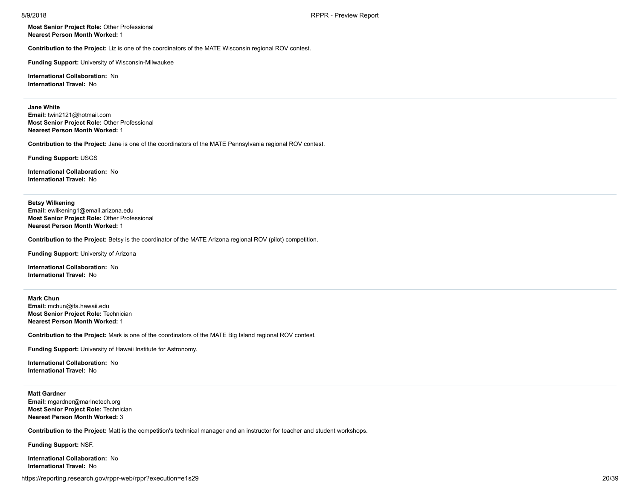**Most Senior Project Role:** Other Professional **Nearest Person Month Worked:** 1

**Contribution to the Project:** Liz is one of the coordinators of the MATE Wisconsin regional ROV contest.

**Funding Support:** University of Wisconsin-Milwaukee

**International Collaboration:** No **International Travel:** No

<span id="page-19-0"></span>**Jane White Email:** twin2121@hotmail.com **Most Senior Project Role:** Other Professional **Nearest Person Month Worked:** 1

**Contribution to the Project:** Jane is one of the coordinators of the MATE Pennsylvania regional ROV contest.

**Funding Support:** USGS

**International Collaboration:** No **International Travel:** No

<span id="page-19-1"></span>**Betsy Wilkening Email:** ewilkening1@email.arizona.edu **Most Senior Project Role:** Other Professional **Nearest Person Month Worked:** 1

**Contribution to the Project:** Betsy is the coordinator of the MATE Arizona regional ROV (pilot) competition.

**Funding Support:** University of Arizona

**International Collaboration:** No **International Travel:** No

<span id="page-19-2"></span>**Mark Chun Email:** mchun@ifa.hawaii.edu **Most Senior Project Role:** Technician **Nearest Person Month Worked:** 1

**Contribution to the Project:** Mark is one of the coordinators of the MATE Big Island regional ROV contest.

**Funding Support:** University of Hawaii Institute for Astronomy.

**International Collaboration:** No **International Travel:** No

<span id="page-19-3"></span>**Matt Gardner Email:** mgardner@marinetech.org **Most Senior Project Role:** Technician **Nearest Person Month Worked:** 3

**Contribution to the Project:** Matt is the competition's technical manager and an instructor for teacher and student workshops.

**Funding Support:** NSF.

**International Collaboration:** No **International Travel:** No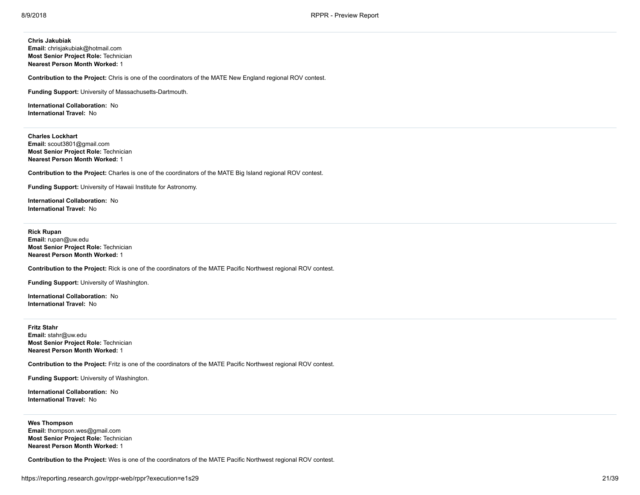<span id="page-20-0"></span>**Chris Jakubiak Email:** chrisjakubiak@hotmail.com **Most Senior Project Role:** Technician

**Nearest Person Month Worked:** 1

**Contribution to the Project:** Chris is one of the coordinators of the MATE New England regional ROV contest.

**Funding Support:** University of Massachusetts-Dartmouth.

**International Collaboration:** No **International Travel:** No

<span id="page-20-1"></span>**Charles Lockhart Email:** scout3801@gmail.com **Most Senior Project Role:** Technician **Nearest Person Month Worked:** 1

**Contribution to the Project:** Charles is one of the coordinators of the MATE Big Island regional ROV contest.

**Funding Support:** University of Hawaii Institute for Astronomy.

**International Collaboration:** No **International Travel:** No

<span id="page-20-2"></span>**Rick Rupan Email:** rupan@uw.edu **Most Senior Project Role:** Technician **Nearest Person Month Worked:** 1

**Contribution to the Project:** Rick is one of the coordinators of the MATE Pacific Northwest regional ROV contest.

**Funding Support:** University of Washington.

**International Collaboration:** No **International Travel:** No

<span id="page-20-3"></span>**Fritz Stahr Email:** stahr@uw.edu **Most Senior Project Role:** Technician **Nearest Person Month Worked:** 1

**Contribution to the Project:** Fritz is one of the coordinators of the MATE Pacific Northwest regional ROV contest.

**Funding Support:** University of Washington.

**International Collaboration:** No **International Travel:** No

<span id="page-20-4"></span>**Wes Thompson Email:** thompson.wes@gmail.com **Most Senior Project Role:** Technician **Nearest Person Month Worked:** 1

**Contribution to the Project:** Wes is one of the coordinators of the MATE Pacific Northwest regional ROV contest.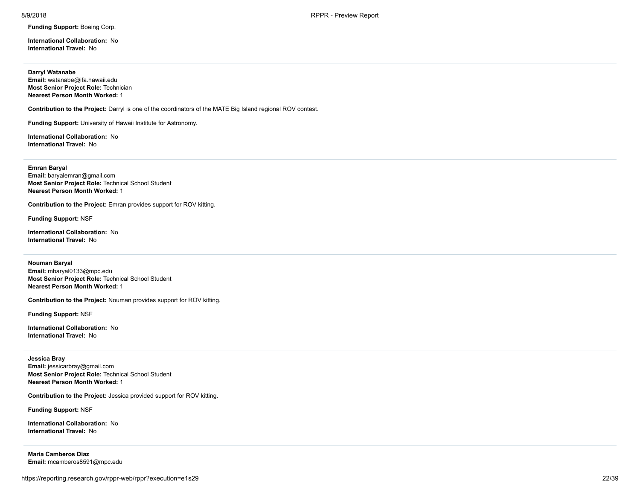**Funding Support:** Boeing Corp.

**International Collaboration:** No **International Travel:** No

# <span id="page-21-0"></span>**Darryl Watanabe**

**Email:** watanabe@ifa.hawaii.edu **Most Senior Project Role:** Technician **Nearest Person Month Worked:** 1

**Contribution to the Project:** Darryl is one of the coordinators of the MATE Big Island regional ROV contest.

**Funding Support:** University of Hawaii Institute for Astronomy.

**International Collaboration:** No **International Travel:** No

# <span id="page-21-1"></span>**Emran Baryal Email:** baryalemran@gmail.com **Most Senior Project Role:** Technical School Student **Nearest Person Month Worked:** 1

**Contribution to the Project:** Emran provides support for ROV kitting.

**Funding Support:** NSF

**International Collaboration:** No **International Travel:** No

<span id="page-21-2"></span>**Nouman Baryal Email:** mbaryal0133@mpc.edu **Most Senior Project Role:** Technical School Student **Nearest Person Month Worked:** 1

**Contribution to the Project:** Nouman provides support for ROV kitting.

**Funding Support:** NSF

**International Collaboration:** No **International Travel:** No

# <span id="page-21-3"></span>**Jessica Bray Email:** jessicarbray@gmail.com **Most Senior Project Role:** Technical School Student **Nearest Person Month Worked:** 1

**Contribution to the Project:** Jessica provided support for ROV kitting.

**Funding Support:** NSF

**International Collaboration:** No **International Travel:** No

<span id="page-21-4"></span>**Maria Camberos Diaz Email:** mcamberos8591@mpc.edu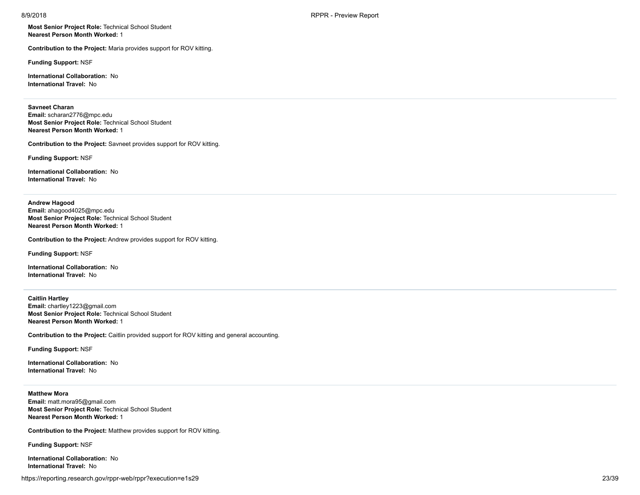**Most Senior Project Role:** Technical School Student **Nearest Person Month Worked:** 1

**Contribution to the Project:** Maria provides support for ROV kitting.

**Funding Support:** NSF

**International Collaboration:** No **International Travel:** No

#### <span id="page-22-0"></span>**Savneet Charan**

**Email:** scharan2776@mpc.edu **Most Senior Project Role:** Technical School Student **Nearest Person Month Worked:** 1

**Contribution to the Project:** Savneet provides support for ROV kitting.

**Funding Support:** NSF

**International Collaboration:** No **International Travel:** No

#### <span id="page-22-1"></span>**Andrew Hagood**

**Email:** ahagood4025@mpc.edu **Most Senior Project Role:** Technical School Student **Nearest Person Month Worked:** 1

**Contribution to the Project:** Andrew provides support for ROV kitting.

**Funding Support:** NSF

**International Collaboration:** No **International Travel:** No

<span id="page-22-2"></span>**Caitlin Hartley Email:** chartley1223@gmail.com **Most Senior Project Role:** Technical School Student **Nearest Person Month Worked:** 1

**Contribution to the Project:** Caitlin provided support for ROV kitting and general accounting.

**Funding Support:** NSF

**International Collaboration:** No **International Travel:** No

# <span id="page-22-3"></span>**Matthew Mora**

**Email:** matt.mora95@gmail.com **Most Senior Project Role:** Technical School Student **Nearest Person Month Worked:** 1

**Contribution to the Project:** Matthew provides support for ROV kitting.

**Funding Support:** NSF

**International Collaboration:** No **International Travel:** No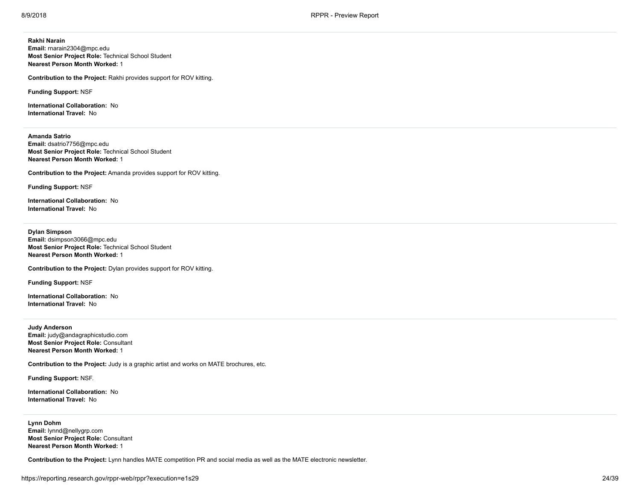#### <span id="page-23-0"></span>**Rakhi Narain**

**Email:** rnarain2304@mpc.edu **Most Senior Project Role:** Technical School Student **Nearest Person Month Worked:** 1

**Contribution to the Project:** Rakhi provides support for ROV kitting.

**Funding Support:** NSF

**International Collaboration:** No **International Travel:** No

<span id="page-23-1"></span>**Amanda Satrio Email:** dsatrio7756@mpc.edu **Most Senior Project Role:** Technical School Student **Nearest Person Month Worked:** 1

**Contribution to the Project:** Amanda provides support for ROV kitting.

**Funding Support:** NSF

**International Collaboration:** No **International Travel:** No

<span id="page-23-2"></span>**Dylan Simpson Email:** dsimpson3066@mpc.edu **Most Senior Project Role:** Technical School Student **Nearest Person Month Worked:** 1

**Contribution to the Project:** Dylan provides support for ROV kitting.

**Funding Support:** NSF

**International Collaboration:** No **International Travel:** No

<span id="page-23-3"></span>**Judy Anderson Email:** judy@andagraphicstudio.com **Most Senior Project Role:** Consultant **Nearest Person Month Worked:** 1

**Contribution to the Project:** Judy is a graphic artist and works on MATE brochures, etc.

**Funding Support:** NSF.

**International Collaboration:** No **International Travel:** No

<span id="page-23-4"></span>**Lynn Dohm Email:** lynnd@nellygrp.com **Most Senior Project Role:** Consultant **Nearest Person Month Worked:** 1

**Contribution to the Project:** Lynn handles MATE competition PR and social media as well as the MATE electronic newsletter.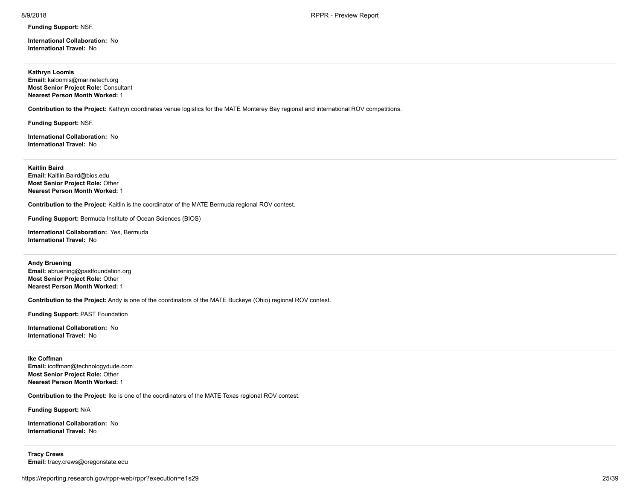**International Collaboration:** No **International Travel:** No

# <span id="page-24-0"></span>**Kathryn Loomis Email:** kaloomis@marinetech.org **Most Senior Project Role:** Consultant **Nearest Person Month Worked:** 1

**Contribution to the Project:** Kathryn coordinates venue logistics for the MATE Monterey Bay regional and international ROV competitions.

**Funding Support:** NSF.

**International Collaboration:** No **International Travel:** No

<span id="page-24-1"></span>**Kaitlin Baird Email:** Kaitlin.Baird@bios.edu **Most Senior Project Role:** Other **Nearest Person Month Worked:** 1

**Contribution to the Project:** Kaitlin is the coordinator of the MATE Bermuda regional ROV contest.

**Funding Support:** Bermuda Institute of Ocean Sciences (BIOS)

**International Collaboration:** Yes, Bermuda **International Travel:** No

<span id="page-24-2"></span>**Andy Bruening Email:** abruening@pastfoundation.org **Most Senior Project Role:** Other **Nearest Person Month Worked:** 1

**Contribution to the Project:** Andy is one of the coordinators of the MATE Buckeye (Ohio) regional ROV contest.

**Funding Support:** PAST Foundation

**International Collaboration:** No **International Travel:** No

<span id="page-24-3"></span>**Ike Coffman Email:** icoffman@technologydude.com **Most Senior Project Role:** Other **Nearest Person Month Worked:** 1

**Contribution to the Project:** Ike is one of the coordinators of the MATE Texas regional ROV contest.

**Funding Support:** N/A

**International Collaboration:** No **International Travel:** No

<span id="page-24-4"></span>**Tracy Crews Email:** tracy.crews@oregonstate.edu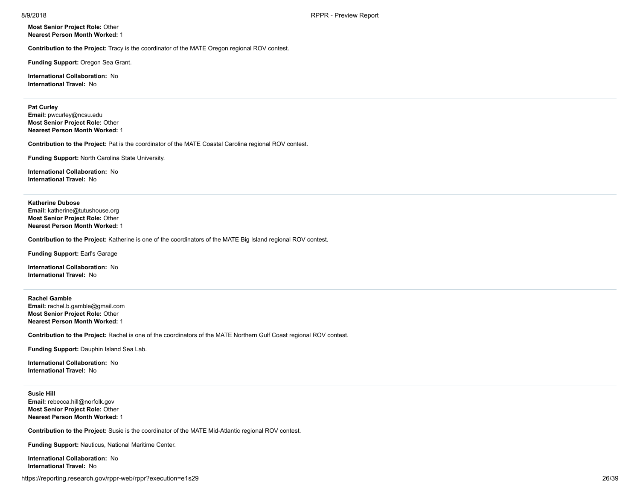# **Most Senior Project Role:** Other **Nearest Person Month Worked:** 1

**Contribution to the Project:** Tracy is the coordinator of the MATE Oregon regional ROV contest.

**Funding Support:** Oregon Sea Grant.

**International Collaboration:** No **International Travel:** No

#### <span id="page-25-0"></span>**Pat Curley**

**Email:** pwcurley@ncsu.edu **Most Senior Project Role:** Other **Nearest Person Month Worked:** 1

**Contribution to the Project:** Pat is the coordinator of the MATE Coastal Carolina regional ROV contest.

**Funding Support:** North Carolina State University.

**International Collaboration:** No **International Travel:** No

<span id="page-25-1"></span>**Katherine Dubose Email:** katherine@tutushouse.org **Most Senior Project Role:** Other **Nearest Person Month Worked:** 1

**Contribution to the Project:** Katherine is one of the coordinators of the MATE Big Island regional ROV contest.

**Funding Support:** Earl's Garage

**International Collaboration:** No **International Travel:** No

<span id="page-25-2"></span>**Rachel Gamble Email:** rachel.b.gamble@gmail.com **Most Senior Project Role:** Other **Nearest Person Month Worked:** 1

**Contribution to the Project:** Rachel is one of the coordinators of the MATE Northern Gulf Coast regional ROV contest.

**Funding Support:** Dauphin Island Sea Lab.

**International Collaboration:** No **International Travel:** No

<span id="page-25-3"></span>**Susie Hill Email:** rebecca.hill@norfolk.gov **Most Senior Project Role:** Other **Nearest Person Month Worked:** 1

**Contribution to the Project:** Susie is the coordinator of the MATE Mid-Atlantic regional ROV contest.

**Funding Support:** Nauticus, National Maritime Center.

**International Collaboration:** No **International Travel:** No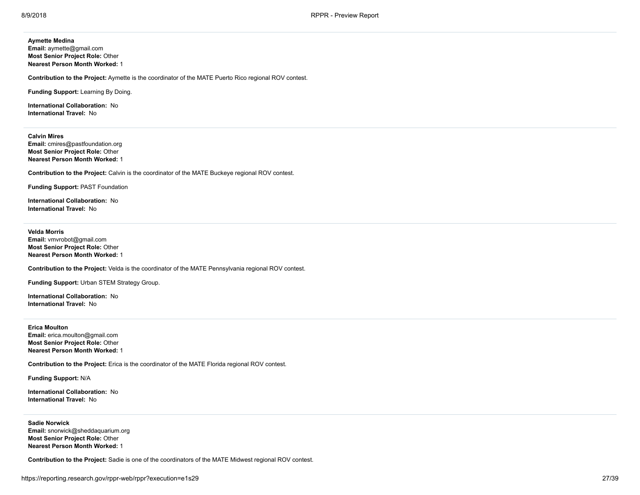# <span id="page-26-0"></span>**Aymette Medina**

**Email:** aymette@gmail.com **Most Senior Project Role:** Other **Nearest Person Month Worked:** 1

**Contribution to the Project:** Aymette is the coordinator of the MATE Puerto Rico regional ROV contest.

**Funding Support:** Learning By Doing.

**International Collaboration:** No **International Travel:** No

<span id="page-26-1"></span>**Calvin Mires Email:** cmires@pastfoundation.org **Most Senior Project Role:** Other **Nearest Person Month Worked:** 1

**Contribution to the Project:** Calvin is the coordinator of the MATE Buckeye regional ROV contest.

**Funding Support:** PAST Foundation

**International Collaboration:** No **International Travel:** No

<span id="page-26-2"></span>**Velda Morris Email:** vmvrobot@gmail.com **Most Senior Project Role:** Other **Nearest Person Month Worked:** 1

**Contribution to the Project:** Velda is the coordinator of the MATE Pennsylvania regional ROV contest.

**Funding Support:** Urban STEM Strategy Group.

**International Collaboration:** No **International Travel:** No

<span id="page-26-3"></span>**Erica Moulton Email:** erica.moulton@gmail.com **Most Senior Project Role:** Other **Nearest Person Month Worked:** 1

**Contribution to the Project:** Erica is the coordinator of the MATE Florida regional ROV contest.

**Funding Support:** N/A

**International Collaboration:** No **International Travel:** No

<span id="page-26-4"></span>**Sadie Norwick Email:** snorwick@sheddaquarium.org **Most Senior Project Role:** Other **Nearest Person Month Worked:** 1

**Contribution to the Project:** Sadie is one of the coordinators of the MATE Midwest regional ROV contest.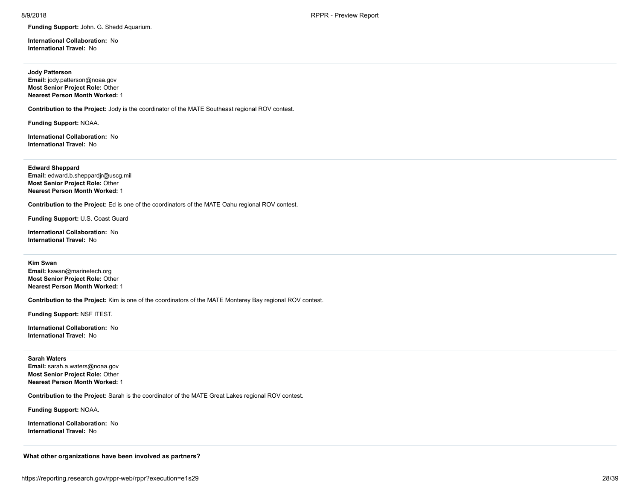**Funding Support:** John. G. Shedd Aquarium.

**International Collaboration:** No **International Travel:** No

#### <span id="page-27-0"></span>**Jody Patterson**

**Email:** jody.patterson@noaa.gov **Most Senior Project Role:** Other **Nearest Person Month Worked:** 1

**Contribution to the Project:** Jody is the coordinator of the MATE Southeast regional ROV contest.

**Funding Support:** NOAA.

**International Collaboration:** No **International Travel:** No

<span id="page-27-1"></span>**Edward Sheppard Email:** edward.b.sheppardjr@uscg.mil **Most Senior Project Role:** Other **Nearest Person Month Worked:** 1

**Contribution to the Project:** Ed is one of the coordinators of the MATE Oahu regional ROV contest.

**Funding Support:** U.S. Coast Guard

**International Collaboration:** No **International Travel:** No

<span id="page-27-2"></span>**Kim Swan Email:** kswan@marinetech.org **Most Senior Project Role:** Other **Nearest Person Month Worked:** 1

**Contribution to the Project:** Kim is one of the coordinators of the MATE Monterey Bay regional ROV contest.

**Funding Support:** NSF ITEST.

**International Collaboration:** No **International Travel:** No

### <span id="page-27-3"></span>**Sarah Waters**

**Email:** sarah.a.waters@noaa.gov **Most Senior Project Role:** Other **Nearest Person Month Worked:** 1

**Contribution to the Project:** Sarah is the coordinator of the MATE Great Lakes regional ROV contest.

**Funding Support:** NOAA.

**International Collaboration:** No **International Travel:** No

**What other organizations have been involved as partners?**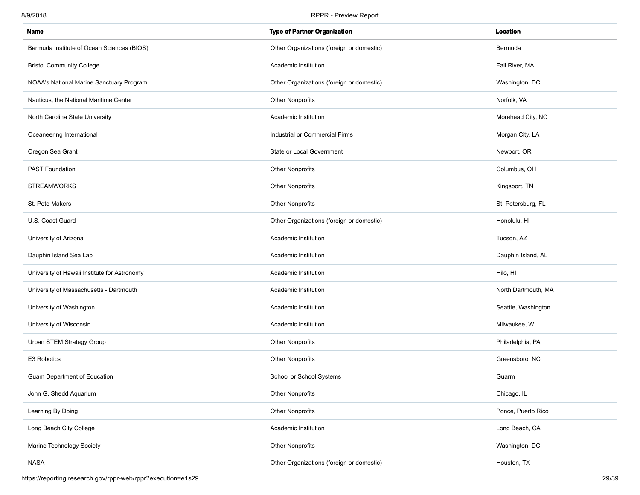| Name                                         | <b>Type of Partner Organization</b>       | Location            |
|----------------------------------------------|-------------------------------------------|---------------------|
| Bermuda Institute of Ocean Sciences (BIOS)   | Other Organizations (foreign or domestic) | Bermuda             |
| <b>Bristol Community College</b>             | Academic Institution                      | Fall River, MA      |
| NOAA's National Marine Sanctuary Program     | Other Organizations (foreign or domestic) | Washington, DC      |
| Nauticus, the National Maritime Center       | <b>Other Nonprofits</b>                   | Norfolk, VA         |
| North Carolina State University              | Academic Institution                      | Morehead City, NC   |
| Oceaneering International                    | Industrial or Commercial Firms            | Morgan City, LA     |
| Oregon Sea Grant                             | State or Local Government                 | Newport, OR         |
| <b>PAST Foundation</b>                       | <b>Other Nonprofits</b>                   | Columbus, OH        |
| <b>STREAMWORKS</b>                           | <b>Other Nonprofits</b>                   | Kingsport, TN       |
| St. Pete Makers                              | <b>Other Nonprofits</b>                   | St. Petersburg, FL  |
| U.S. Coast Guard                             | Other Organizations (foreign or domestic) | Honolulu, HI        |
| University of Arizona                        | Academic Institution                      | Tucson, AZ          |
| Dauphin Island Sea Lab                       | Academic Institution                      | Dauphin Island, AL  |
| University of Hawaii Institute for Astronomy | Academic Institution                      | Hilo, HI            |
| University of Massachusetts - Dartmouth      | Academic Institution                      | North Dartmouth, MA |
| University of Washington                     | Academic Institution                      | Seattle, Washington |
| University of Wisconsin                      | Academic Institution                      | Milwaukee, WI       |
| Urban STEM Strategy Group                    | <b>Other Nonprofits</b>                   | Philadelphia, PA    |
| E3 Robotics                                  | <b>Other Nonprofits</b>                   | Greensboro, NC      |
| Guam Department of Education                 | School or School Systems                  | Guarm               |
| John G. Shedd Aquarium                       | <b>Other Nonprofits</b>                   | Chicago, IL         |
| Learning By Doing                            | <b>Other Nonprofits</b>                   | Ponce, Puerto Rico  |
| Long Beach City College                      | Academic Institution                      | Long Beach, CA      |
| Marine Technology Society                    | <b>Other Nonprofits</b>                   | Washington, DC      |
| <b>NASA</b>                                  | Other Organizations (foreign or domestic) | Houston, TX         |

https://reporting.research.gov/rppr-web/rppr?execution=e1s29 29/39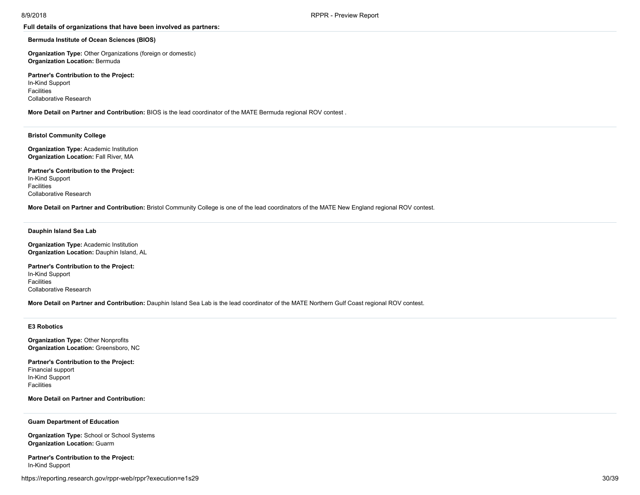# **Full details of organizations that have been involved as partners:**

## <span id="page-29-0"></span>**Bermuda Institute of Ocean Sciences (BIOS)**

**Organization Type:** Other Organizations (foreign or domestic) **Organization Location:** Bermuda

**Partner's Contribution to the Project:** In-Kind Support Facilities Collaborative Research

**More Detail on Partner and Contribution:** BIOS is the lead coordinator of the MATE Bermuda regional ROV contest .

#### <span id="page-29-1"></span>**Bristol Community College**

**Organization Type:** Academic Institution **Organization Location:** Fall River, MA

**Partner's Contribution to the Project:** In-Kind Support Facilities Collaborative Research

**More Detail on Partner and Contribution:** Bristol Community College is one of the lead coordinators of the MATE New England regional ROV contest.

### <span id="page-29-2"></span>**Dauphin Island Sea Lab**

**Organization Type:** Academic Institution **Organization Location:** Dauphin Island, AL

**Partner's Contribution to the Project:** In-Kind Support Facilities Collaborative Research

**More Detail on Partner and Contribution:** Dauphin Island Sea Lab is the lead coordinator of the MATE Northern Gulf Coast regional ROV contest.

# <span id="page-29-3"></span>**E3 Robotics**

**Organization Type:** Other Nonprofits **Organization Location:** Greensboro, NC

**Partner's Contribution to the Project:** Financial support In-Kind Support Facilities

**More Detail on Partner and Contribution:**

#### <span id="page-29-4"></span>**Guam Department of Education**

**Organization Type:** School or School Systems **Organization Location:** Guarm

**Partner's Contribution to the Project:** In-Kind Support

https://reporting.research.gov/rppr-web/rppr?execution=e1s29 30/39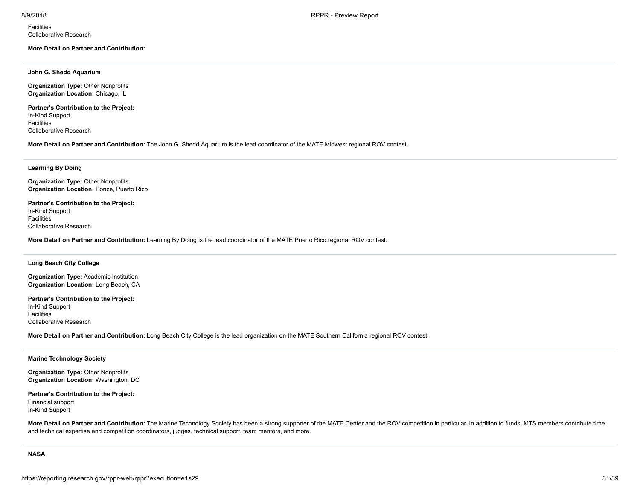**More Detail on Partner and Contribution:**

<span id="page-30-0"></span>**John G. Shedd Aquarium**

**Organization Type:** Other Nonprofits **Organization Location:** Chicago, IL

**Partner's Contribution to the Project:** In-Kind Support Facilities Collaborative Research

**More Detail on Partner and Contribution:** The John G. Shedd Aquarium is the lead coordinator of the MATE Midwest regional ROV contest.

<span id="page-30-1"></span>**Learning By Doing**

**Organization Type:** Other Nonprofits **Organization Location:** Ponce, Puerto Rico

**Partner's Contribution to the Project:** In-Kind Support Facilities Collaborative Research

**More Detail on Partner and Contribution:** Learning By Doing is the lead coordinator of the MATE Puerto Rico regional ROV contest.

<span id="page-30-2"></span>**Long Beach City College**

**Organization Type:** Academic Institution **Organization Location:** Long Beach, CA

**Partner's Contribution to the Project:** In-Kind Support Facilities Collaborative Research

**More Detail on Partner and Contribution:** Long Beach City College is the lead organization on the MATE Southern California regional ROV contest.

# <span id="page-30-3"></span>**Marine Technology Society**

**Organization Type:** Other Nonprofits **Organization Location:** Washington, DC

**Partner's Contribution to the Project:** Financial support In-Kind Support

More Detail on Partner and Contribution: The Marine Technology Society has been a strong supporter of the MATE Center and the ROV competition in particular. In addition to funds, MTS members contribute time and technical expertise and competition coordinators, judges, technical support, team mentors, and more.

<span id="page-30-4"></span>**NASA**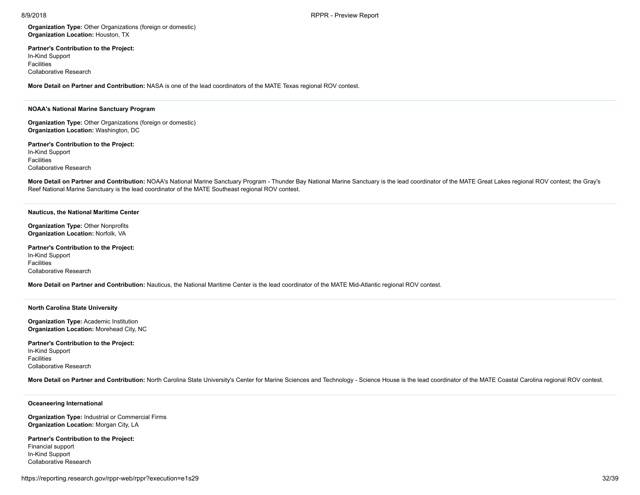**Organization Type:** Other Organizations (foreign or domestic) **Organization Location:** Houston, TX

**Partner's Contribution to the Project:** In-Kind Support Facilities Collaborative Research

**More Detail on Partner and Contribution:** NASA is one of the lead coordinators of the MATE Texas regional ROV contest.

#### <span id="page-31-0"></span>**NOAA's National Marine Sanctuary Program**

**Organization Type:** Other Organizations (foreign or domestic) **Organization Location:** Washington, DC

**Partner's Contribution to the Project:** In-Kind Support Facilities Collaborative Research

More Detail on Partner and Contribution: NOAA's National Marine Sanctuary Program - Thunder Bay National Marine Sanctuary is the lead coordinator of the MATE Great Lakes regional ROV contest; the Gray's Reef National Marine Sanctuary is the lead coordinator of the MATE Southeast regional ROV contest.

#### <span id="page-31-1"></span>**Nauticus, the National Maritime Center**

**Organization Type:** Other Nonprofits **Organization Location:** Norfolk, VA

**Partner's Contribution to the Project:** In-Kind Support Facilities Collaborative Research

**More Detail on Partner and Contribution:** Nauticus, the National Maritime Center is the lead coordinator of the MATE Mid-Atlantic regional ROV contest.

#### <span id="page-31-2"></span>**North Carolina State University**

**Organization Type:** Academic Institution **Organization Location:** Morehead City, NC

**Partner's Contribution to the Project:** In-Kind Support Facilities Collaborative Research

More Detail on Partner and Contribution: North Carolina State University's Center for Marine Sciences and Technology - Science House is the lead coordinator of the MATE Coastal Carolina regional ROV contest.

# <span id="page-31-3"></span>**Oceaneering International**

**Organization Type:** Industrial or Commercial Firms **Organization Location:** Morgan City, LA

**Partner's Contribution to the Project:** Financial support In-Kind Support Collaborative Research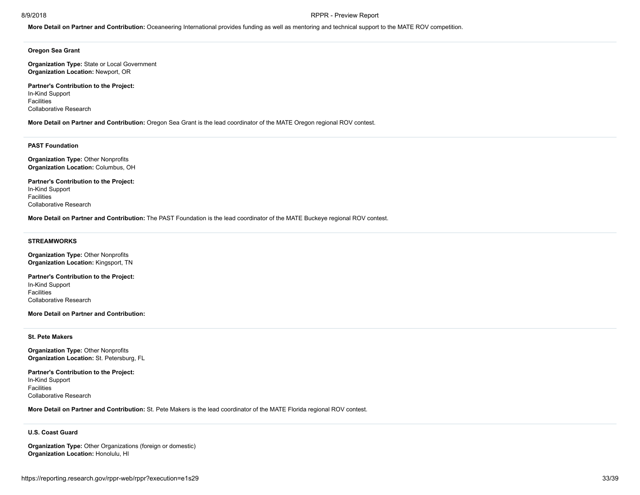**More Detail on Partner and Contribution:** Oceaneering International provides funding as well as mentoring and technical support to the MATE ROV competition.

## <span id="page-32-0"></span>**Oregon Sea Grant**

**Organization Type:** State or Local Government **Organization Location:** Newport, OR

**Partner's Contribution to the Project:** In-Kind Support Facilities Collaborative Research

**More Detail on Partner and Contribution:** Oregon Sea Grant is the lead coordinator of the MATE Oregon regional ROV contest.

# <span id="page-32-1"></span>**PAST Foundation**

**Organization Type:** Other Nonprofits **Organization Location:** Columbus, OH

**Partner's Contribution to the Project:** In-Kind Support Facilities Collaborative Research

**More Detail on Partner and Contribution:** The PAST Foundation is the lead coordinator of the MATE Buckeye regional ROV contest.

#### <span id="page-32-2"></span>**STREAMWORKS**

**Organization Type:** Other Nonprofits **Organization Location:** Kingsport, TN

**Partner's Contribution to the Project:** In-Kind Support Facilities Collaborative Research

**More Detail on Partner and Contribution:**

# <span id="page-32-3"></span>**St. Pete Makers**

**Organization Type:** Other Nonprofits **Organization Location:** St. Petersburg, FL

**Partner's Contribution to the Project:** In-Kind Support Facilities Collaborative Research

**More Detail on Partner and Contribution:** St. Pete Makers is the lead coordinator of the MATE Florida regional ROV contest.

#### <span id="page-32-4"></span>**U.S. Coast Guard**

**Organization Type:** Other Organizations (foreign or domestic) **Organization Location:** Honolulu, HI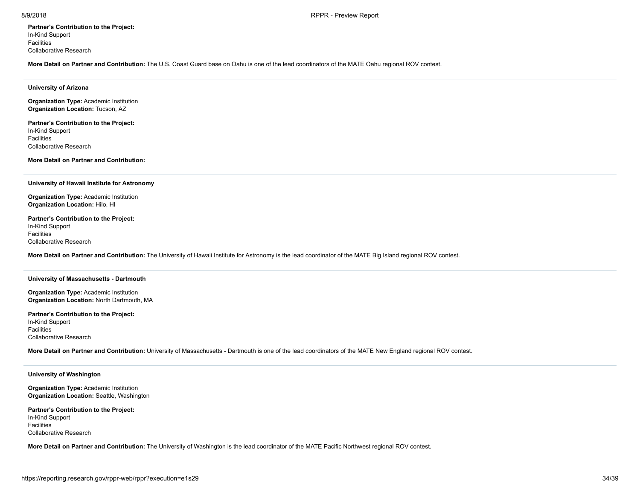In-Kind Support Facilities Collaborative Research

8/9/2018 RPPR - Preview Report

**More Detail on Partner and Contribution:** The U.S. Coast Guard base on Oahu is one of the lead coordinators of the MATE Oahu regional ROV contest.

#### <span id="page-33-0"></span>**University of Arizona**

**Organization Type:** Academic Institution **Organization Location:** Tucson, AZ

**Partner's Contribution to the Project:** In-Kind Support Facilities Collaborative Research

**More Detail on Partner and Contribution:**

## <span id="page-33-1"></span>**University of Hawaii Institute for Astronomy**

**Organization Type:** Academic Institution **Organization Location:** Hilo, HI

**Partner's Contribution to the Project:** In-Kind Support Facilities Collaborative Research

**More Detail on Partner and Contribution:** The University of Hawaii Institute for Astronomy is the lead coordinator of the MATE Big Island regional ROV contest.

## <span id="page-33-2"></span>**University of Massachusetts - Dartmouth**

**Organization Type:** Academic Institution **Organization Location:** North Dartmouth, MA

**Partner's Contribution to the Project:** In-Kind Support Facilities Collaborative Research

**More Detail on Partner and Contribution:** University of Massachusetts - Dartmouth is one of the lead coordinators of the MATE New England regional ROV contest.

#### <span id="page-33-3"></span>**University of Washington**

**Organization Type:** Academic Institution **Organization Location:** Seattle, Washington

**Partner's Contribution to the Project:** In-Kind Support Facilities Collaborative Research

<span id="page-33-4"></span>**More Detail on Partner and Contribution:** The University of Washington is the lead coordinator of the MATE Pacific Northwest regional ROV contest.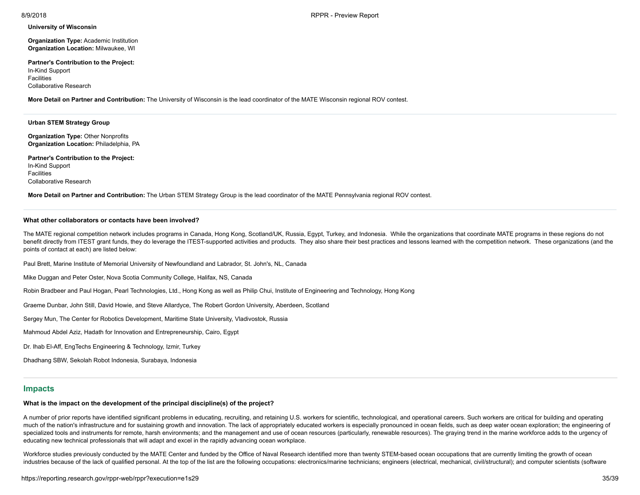#### **University of Wisconsin**

**Organization Type:** Academic Institution **Organization Location:** Milwaukee, WI

**Partner's Contribution to the Project:** In-Kind Support Facilities Collaborative Research

**More Detail on Partner and Contribution:** The University of Wisconsin is the lead coordinator of the MATE Wisconsin regional ROV contest.

#### <span id="page-34-1"></span>**Urban STEM Strategy Group**

**Organization Type:** Other Nonprofits **Organization Location:** Philadelphia, PA

**Partner's Contribution to the Project:** In-Kind Support **Facilities** Collaborative Research

**More Detail on Partner and Contribution:** The Urban STEM Strategy Group is the lead coordinator of the MATE Pennsylvania regional ROV contest.

# **What other collaborators or contacts have been involved?**

The MATE regional competition network includes programs in Canada, Hong Kong, Scotland/UK, Russia, Egypt, Turkey, and Indonesia. While the organizations that coordinate MATE programs in these regions do not benefit directly from ITEST grant funds, they do leverage the ITEST-supported activities and products. They also share their best practices and lessons learned with the competition network. These organizations (and the points of contact at each) are listed below:

Paul Brett, Marine Institute of Memorial University of Newfoundland and Labrador, St. John's, NL, Canada

Mike Duggan and Peter Oster, Nova Scotia Community College, Halifax, NS, Canada

Robin Bradbeer and Paul Hogan, Pearl Technologies, Ltd., Hong Kong as well as Philip Chui, Institute of Engineering and Technology, Hong Kong

Graeme Dunbar, John Still, David Howie, and Steve Allardyce, The Robert Gordon University, Aberdeen, Scotland

Sergey Mun, The Center for Robotics Development, Maritime State University, Vladivostok, Russia

Mahmoud Abdel Aziz, Hadath for Innovation and Entrepreneurship, Cairo, Egypt

Dr. Ihab El-Aff, EngTechs Engineering & Technology, Izmir, Turkey

Dhadhang SBW, Sekolah Robot Indonesia, Surabaya, Indonesia

# <span id="page-34-0"></span>**Impacts**

# **What is the impact on the development of the principal discipline(s) of the project?**

A number of prior reports have identified significant problems in educating, recruiting, and retaining U.S. workers for scientific, technological, and operational careers. Such workers are critical for building and operati much of the nation's infrastructure and for sustaining growth and innovation. The lack of appropriately educated workers is especially pronounced in ocean fields, such as deep water ocean exploration; the engineering of specialized tools and instruments for remote, harsh environments; and the management and use of ocean resources (particularly, renewable resources). The graying trend in the marine workforce adds to the urgency of educating new technical professionals that will adapt and excel in the rapidly advancing ocean workplace.

Workforce studies previously conducted by the MATE Center and funded by the Office of Naval Research identified more than twenty STEM-based ocean occupations that are currently limiting the growth of ocean industries because of the lack of qualified personal. At the top of the list are the following occupations: electronics/marine technicians; engineers (electrical, mechanical, civil/structural); and computer scientists (sof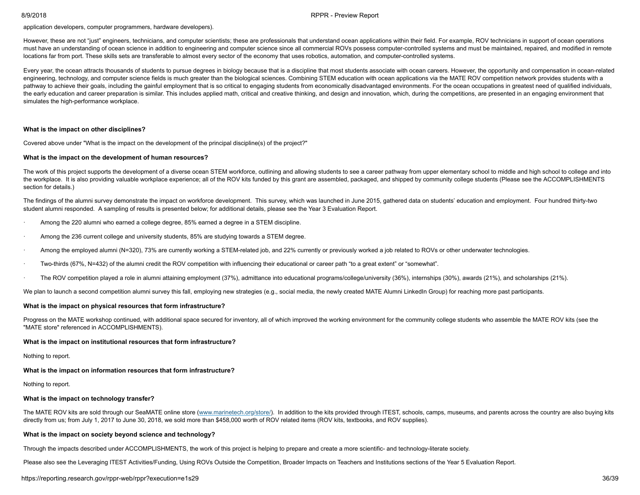application developers, computer programmers, hardware developers).

However, these are not "just" engineers, technicians, and computer scientists; these are professionals that understand ocean applications within their field. For example, ROV technicians in support of ocean operations must have an understanding of ocean science in addition to engineering and computer science since all commercial ROVs possess computer-controlled systems and must be maintained, repaired, and modified in remote locations far from port. These skills sets are transferable to almost every sector of the economy that uses robotics, automation, and computer-controlled systems.

Every year, the ocean attracts thousands of students to pursue degrees in biology because that is a discipline that most students associate with ocean careers. However, the opportunity and compensation in ocean-related engineering, technology, and computer science fields is much greater than the biological sciences. Combining STEM education with ocean applications via the MATE ROV competition network provides students with a pathway to achieve their goals, including the gainful employment that is so critical to engaging students from economically disadvantaged environments. For the ocean occupations in greatest need of qualified individuals, the early education and career preparation is similar. This includes applied math, critical and creative thinking, and design and innovation, which, during the competitions, are presented in an engaging environment that simulates the high-performance workplace.

### **What is the impact on other disciplines?**

Covered above under "What is the impact on the development of the principal discipline(s) of the project?"

#### **What is the impact on the development of human resources?**

The work of this project supports the development of a diverse ocean STEM workforce, outlining and allowing students to see a career pathway from upper elementary school to middle and high school to college and into the workplace. It is also providing valuable workplace experience; all of the ROV kits funded by this grant are assembled, packaged, and shipped by community college students (Please see the ACCOMPLISHMENTS section for details.)

The findings of the alumni survey demonstrate the impact on workforce development. This survey, which was launched in June 2015, gathered data on students' education and employment. Four hundred thirty-two student alumni responded. A sampling of results is presented below; for additional details, please see the Year 3 Evaluation Report.

- · Among the 220 alumni who earned a college degree, 85% earned a degree in a STEM discipline.
- · Among the 236 current college and university students, 85% are studying towards a STEM degree.
- Among the employed alumni (N=320), 73% are currently working a STEM-related job, and 22% currently or previously worked a job related to ROVs or other underwater technologies.
- · Two-thirds (67%, N=432) of the alumni credit the ROV competition with influencing their educational or career path "to a great extent" or "somewhat".
- · The ROV competition played a role in alumni attaining employment (37%), admittance into educational programs/college/university (36%), internships (30%), awards (21%), and scholarships (21%).

We plan to launch a second competition alumni survey this fall, employing new strategies (e.g., social media, the newly created MATE Alumni LinkedIn Group) for reaching more past participants.

#### **What is the impact on physical resources that form infrastructure?**

Progress on the MATE workshop continued, with additional space secured for inventory, all of which improved the working environment for the community college students who assemble the MATE ROV kits (see the "MATE store" referenced in ACCOMPLISHMENTS).

#### **What is the impact on institutional resources that form infrastructure?**

Nothing to report.

#### **What is the impact on information resources that form infrastructure?**

Nothing to report.

#### **What is the impact on technology transfer?**

The MATE ROV kits are sold through our SeaMATE online store [\(www.marinetech.org/store/](http://www.marinetech.org/store/)). In addition to the kits provided through ITEST, schools, camps, museums, and parents across the country are also buying kits directly from us; from July 1, 2017 to June 30, 2018, we sold more than \$458,000 worth of ROV related items (ROV kits, textbooks, and ROV supplies).

#### **What is the impact on society beyond science and technology?**

Through the impacts described under ACCOMPLISHMENTS, the work of this project is helping to prepare and create a more scientific- and technology-literate society.

Please also see the Leveraging ITEST Activities/Funding, Using ROVs Outside the Competition, Broader Impacts on Teachers and Institutions sections of the Year 5 Evaluation Report.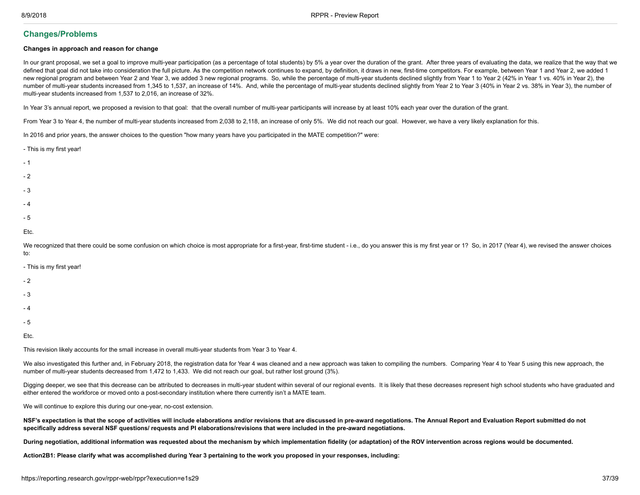# <span id="page-36-0"></span>**Changes/Problems**

# **Changes in approach and reason for change**

In our grant proposal, we set a goal to improve multi-year participation (as a percentage of total students) by 5% a year over the duration of the grant. After three years of evaluating the data, we realize that the way th defined that goal did not take into consideration the full picture. As the competition network continues to expand, by definition, it draws in new, first-time competitors. For example, between Year 1 and Year 2, we added 1 new regional program and between Year 2 and Year 3, we added 3 new regional programs. So, while the percentage of multi-year students declined slightly from Year 1 to Year 2 (42% in Year 1 vs. 40% in Year 2), the number of multi-year students increased from 1,345 to 1,537, an increase of 14%. And, while the percentage of multi-year students declined slightly from Year 2 to Year 3 (40% in Year 2 vs. 38% in Year 3), the number of multi-year students increased from 1,537 to 2,016, an increase of 32%.

In Year 3's annual report, we proposed a revision to that goal: that the overall number of multi-year participants will increase by at least 10% each year over the duration of the grant.

From Year 3 to Year 4, the number of multi-year students increased from 2,038 to 2,118, an increase of only 5%. We did not reach our goal. However, we have a very likely explanation for this.

In 2016 and prior years, the answer choices to the question "how many years have you participated in the MATE competition?" were:

- This is my first year!
- 1
- 
- 2
- 
- 3
- 4
- 5
- Etc.

We recognized that there could be some confusion on which choice is most appropriate for a first-year, first-time student - i.e., do you answer this is my first year or 1? So, in 2017 (Year 4), we revised the answer choice to:

- This is my first year!

- $-2$
- 3
- 
- 4
- 5

Etc.

This revision likely accounts for the small increase in overall multi-year students from Year 3 to Year 4.

We also investigated this further and, in February 2018, the registration data for Year 4 was cleaned and a new approach was taken to compiling the numbers. Comparing Year 4 to Year 5 using this new approach, the number of multi-year students decreased from 1,472 to 1,433. We did not reach our goal, but rather lost ground (3%).

Digging deeper, we see that this decrease can be attributed to decreases in multi-year student within several of our regional events. It is likely that these decreases represent high school students who have graduated and either entered the workforce or moved onto a post-secondary institution where there currently isn't a MATE team.

We will continue to explore this during our one-year, no-cost extension.

NSF's expectation is that the scope of activities will include elaborations and/or revisions that are discussed in pre-award negotiations. The Annual Report and Evaluation Report submitted do not specifically address several NSF questions/requests and PI elaborations/revisions that were included in the pre-award negotiations.

During negotiation, additional information was requested about the mechanism by which implementation fidelity (or adaptation) of the ROV intervention across regions would be documented.

Action2B1: Please clarify what was accomplished during Year 3 pertaining to the work you proposed in your responses, including: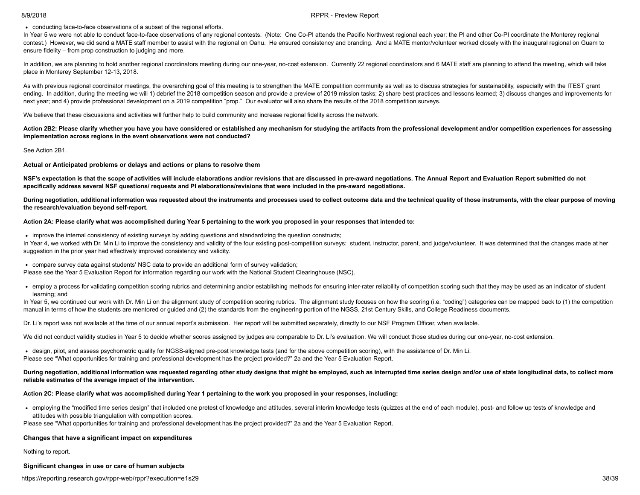#### 8/9/2018 RPPR - Preview Report

#### conducting face-to-face observations of a subset of the regional efforts.

In Year 5 we were not able to conduct face-to-face observations of any regional contests. (Note: One Co-PI attends the Pacific Northwest regional each year; the PI and other Co-PI coordinate the Monterey regional contest.) However, we did send a MATE staff member to assist with the regional on Oahu. He ensured consistency and branding. And a MATE mentor/volunteer worked closely with the inaugural regional on Guam to ensure fidelity – from prop construction to judging and more.

In addition, we are planning to hold another regional coordinators meeting during our one-year, no-cost extension. Currently 22 regional coordinators and 6 MATE staff are planning to attend the meeting, which will take place in Monterey September 12-13, 2018.

As with previous regional coordinator meetings, the overarching goal of this meeting is to strengthen the MATE competition community as well as to discuss strategies for sustainability, especially with the ITEST grant ending. In addition, during the meeting we will 1) debrief the 2018 competition season and provide a preview of 2019 mission tasks; 2) share best practices and lessons learned; 3) discuss changes and improvements for next year; and 4) provide professional development on a 2019 competition "prop." Our evaluator will also share the results of the 2018 competition surveys.

We believe that these discussions and activities will further help to build community and increase regional fidelity across the network.

Action 2B2: Please clarify whether you have you have considered or established any mechanism for studying the artifacts from the professional development and/or competition experiences for assessing **implementation across regions in the event observations were not conducted?**

#### See Action 2B1.

**Actual or Anticipated problems or delays and actions or plans to resolve them**

NSF's expectation is that the scope of activities will include elaborations and/or revisions that are discussed in pre-award negotiations. The Annual Report and Evaluation Report submitted do not specifically address several NSF questions/requests and PI elaborations/revisions that were included in the pre-award negotiations.

During negotiation, additional information was requested about the instruments and processes used to collect outcome data and the technical quality of those instruments, with the clear purpose of moving **the research/evaluation beyond self-report.**

#### Action 2A: Please clarify what was accomplished during Year 5 pertaining to the work you proposed in your responses that intended to:

• improve the internal consistency of existing surveys by adding questions and standardizing the question constructs;

In Year 4, we worked with Dr. Min Li to improve the consistency and validity of the four existing post-competition surveys: student, instructor, parent, and judge/volunteer. It was determined that the changes made at her suggestion in the prior year had effectively improved consistency and validity.

compare survey data against students' NSC data to provide an additional form of survey validation;

Please see the Year 5 Evaluation Report for information regarding our work with the National Student Clearinghouse (NSC).

• employ a process for validating competition scoring rubrics and determining and/or establishing methods for ensuring inter-rater reliability of competition scoring such that they may be used as an indicator of student learning; and

In Year 5, we continued our work with Dr. Min Li on the alignment study of competition scoring rubrics. The alignment study focuses on how the scoring (i.e. "coding") categories can be mapped back to (1) the competition manual in terms of how the students are mentored or guided and (2) the standards from the engineering portion of the NGSS, 21st Century Skills, and College Readiness documents.

Dr. Li's report was not available at the time of our annual report's submission. Her report will be submitted separately, directly to our NSF Program Officer, when available.

We did not conduct validity studies in Year 5 to decide whether scores assigned by judges are comparable to Dr. Li's evaluation. We will conduct those studies during our one-year, no-cost extension.

design, pilot, and assess psychometric quality for NGSS-aligned pre-post knowledge tests (and for the above competition scoring), with the assistance of Dr. Min Li. Please see "What opportunities for training and professional development has the project provided?" 2a and the Year 5 Evaluation Report.

#### During negotiation, additional information was requested regarding other study designs that might be employed, such as interrupted time series design and/or use of state longitudinal data, to collect more **reliable estimates of the average impact of the intervention.**

#### Action 2C: Please clarify what was accomplished during Year 1 pertaining to the work you proposed in your responses, including:

employing the "modified time series design" that included one pretest of knowledge and attitudes, several interim knowledge tests (quizzes at the end of each module), post- and follow up tests of knowledge and attitudes with possible triangulation with competition scores.

Please see "What opportunities for training and professional development has the project provided?" 2a and the Year 5 Evaluation Report.

#### **Changes that have a significant impact on expenditures**

Nothing to report.

#### **Significant changes in use or care of human subjects**

https://reporting.research.gov/rppr-web/rppr?execution=e1s29 38/39